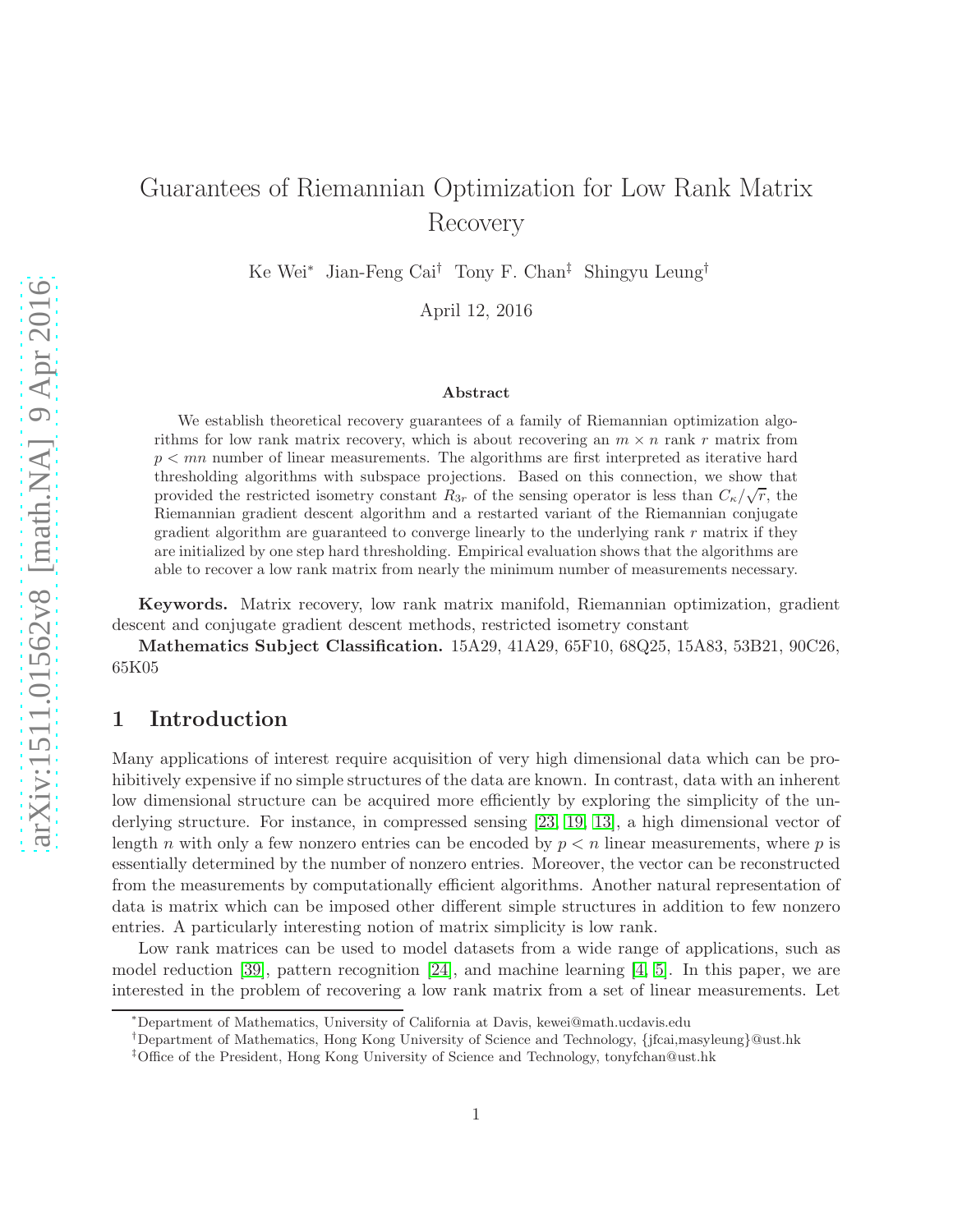# Guarantees of Riemannian Optimization for Low Rank Matrix Recovery

Ke Wei<sup>∗</sup> Jian-Feng Cai† Tony F. Chan‡ Shingyu Leung†

April 12, 2016

#### Abstract

We establish theoretical recovery guarantees of a family of Riemannian optimization algorithms for low rank matrix recovery, which is about recovering an  $m \times n$  rank r matrix from  $p < mn$  number of linear measurements. The algorithms are first interpreted as iterative hard thresholding algorithms with subspace projections. Based on this connection, we show that provided the restricted isometry constant  $R_{3r}$  of the sensing operator is less than  $C_{\kappa}/\sqrt{r}$ , the Riemannian gradient descent algorithm and a restarted variant of the Riemannian conjugate gradient algorithm are guaranteed to converge linearly to the underlying rank  $r$  matrix if they are initialized by one step hard thresholding. Empirical evaluation shows that the algorithms are able to recover a low rank matrix from nearly the minimum number of measurements necessary.

Keywords. Matrix recovery, low rank matrix manifold, Riemannian optimization, gradient descent and conjugate gradient descent methods, restricted isometry constant

Mathematics Subject Classification. 15A29, 41A29, 65F10, 68Q25, 15A83, 53B21, 90C26, 65K05

### 1 Introduction

Many applications of interest require acquisition of very high dimensional data which can be prohibitively expensive if no simple structures of the data are known. In contrast, data with an inherent low dimensional structure can be acquired more efficiently by exploring the simplicity of the underlying structure. For instance, in compressed sensing [\[23,](#page-23-0) [19,](#page-23-1) [13\]](#page-22-0), a high dimensional vector of length n with only a few nonzero entries can be encoded by  $p < n$  linear measurements, where p is essentially determined by the number of nonzero entries. Moreover, the vector can be reconstructed from the measurements by computationally efficient algorithms. Another natural representation of data is matrix which can be imposed other different simple structures in addition to few nonzero entries. A particularly interesting notion of matrix simplicity is low rank.

Low rank matrices can be used to model datasets from a wide range of applications, such as model reduction [\[39\]](#page-24-0), pattern recognition [\[24\]](#page-23-2), and machine learning [\[4,](#page-22-1) [5\]](#page-22-2). In this paper, we are interested in the problem of recovering a low rank matrix from a set of linear measurements. Let

<sup>∗</sup>Department of Mathematics, University of California at Davis, kewei@math.ucdavis.edu

<sup>†</sup>Department of Mathematics, Hong Kong University of Science and Technology, {jfcai,masyleung}@ust.hk

<sup>‡</sup>Office of the President, Hong Kong University of Science and Technology, tonyfchan@ust.hk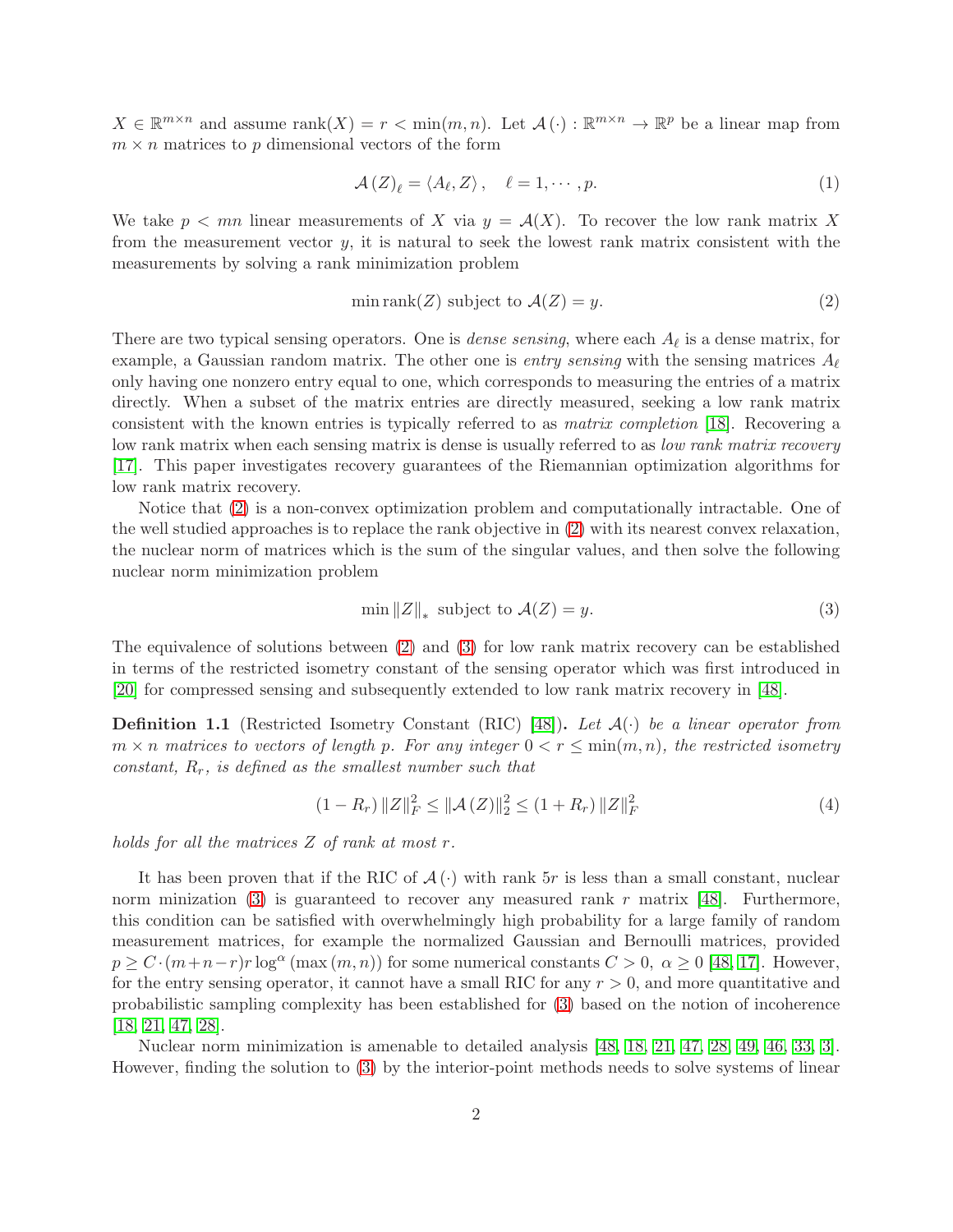$X \in \mathbb{R}^{m \times n}$  and assume  $\text{rank}(X) = r < \min(m, n)$ . Let  $\mathcal{A}(\cdot) : \mathbb{R}^{m \times n} \to \mathbb{R}^p$  be a linear map from  $m \times n$  matrices to p dimensional vectors of the form

$$
\mathcal{A}\left(Z\right)_{\ell} = \langle A_{\ell}, Z \rangle, \quad \ell = 1, \cdots, p. \tag{1}
$$

We take  $p < mn$  linear measurements of X via  $y = A(X)$ . To recover the low rank matrix X from the measurement vector  $y$ , it is natural to seek the lowest rank matrix consistent with the measurements by solving a rank minimization problem

<span id="page-1-0"></span>
$$
\min \text{rank}(Z) \text{ subject to } \mathcal{A}(Z) = y. \tag{2}
$$

There are two typical sensing operators. One is *dense sensing*, where each  $A_{\ell}$  is a dense matrix, for example, a Gaussian random matrix. The other one is *entry sensing* with the sensing matrices  $A_{\ell}$ only having one nonzero entry equal to one, which corresponds to measuring the entries of a matrix directly. When a subset of the matrix entries are directly measured, seeking a low rank matrix consistent with the known entries is typically referred to as matrix completion [\[18\]](#page-23-3). Recovering a low rank matrix when each sensing matrix is dense is usually referred to as low rank matrix recovery [\[17\]](#page-23-4). This paper investigates recovery guarantees of the Riemannian optimization algorithms for low rank matrix recovery.

Notice that [\(2\)](#page-1-0) is a non-convex optimization problem and computationally intractable. One of the well studied approaches is to replace the rank objective in [\(2\)](#page-1-0) with its nearest convex relaxation, the nuclear norm of matrices which is the sum of the singular values, and then solve the following nuclear norm minimization problem

<span id="page-1-1"></span>
$$
\min \|Z\|_* \text{ subject to } \mathcal{A}(Z) = y. \tag{3}
$$

The equivalence of solutions between [\(2\)](#page-1-0) and [\(3\)](#page-1-1) for low rank matrix recovery can be established in terms of the restricted isometry constant of the sensing operator which was first introduced in [\[20\]](#page-23-5) for compressed sensing and subsequently extended to low rank matrix recovery in [\[48\]](#page-24-1).

<span id="page-1-2"></span>**Definition 1.1** (Restricted Isometry Constant (RIC) [\[48\]](#page-24-1)). Let  $\mathcal{A}(\cdot)$  be a linear operator from  $m \times n$  matrices to vectors of length p. For any integer  $0 < r \le \min(m, n)$ , the restricted isometry constant,  $R_r$ , is defined as the smallest number such that

$$
(1 - R_r) \|Z\|_F^2 \le \|A(Z)\|_2^2 \le (1 + R_r) \|Z\|_F^2
$$
\n(4)

holds for all the matrices Z of rank at most r.

It has been proven that if the RIC of  $\mathcal{A}(\cdot)$  with rank 5r is less than a small constant, nuclear norm minization [\(3\)](#page-1-1) is guaranteed to recover any measured rank r matrix [\[48\]](#page-24-1). Furthermore, this condition can be satisfied with overwhelmingly high probability for a large family of random measurement matrices, for example the normalized Gaussian and Bernoulli matrices, provided  $p \ge C \cdot (m+n-r)r \log^{\alpha}(\max(m,n))$  for some numerical constants  $C > 0$ ,  $\alpha \ge 0$  [\[48,](#page-24-1) [17\]](#page-23-4). However, for the entry sensing operator, it cannot have a small RIC for any  $r > 0$ , and more quantitative and probabilistic sampling complexity has been established for [\(3\)](#page-1-1) based on the notion of incoherence [\[18,](#page-23-3) [21,](#page-23-6) [47,](#page-24-2) [28\]](#page-23-7).

Nuclear norm minimization is amenable to detailed analysis [\[48,](#page-24-1) [18,](#page-23-3) [21,](#page-23-6) [47,](#page-24-2) [28,](#page-23-7) [49,](#page-25-0) [46,](#page-24-3) [33,](#page-24-4) [3\]](#page-22-3). However, finding the solution to [\(3\)](#page-1-1) by the interior-point methods needs to solve systems of linear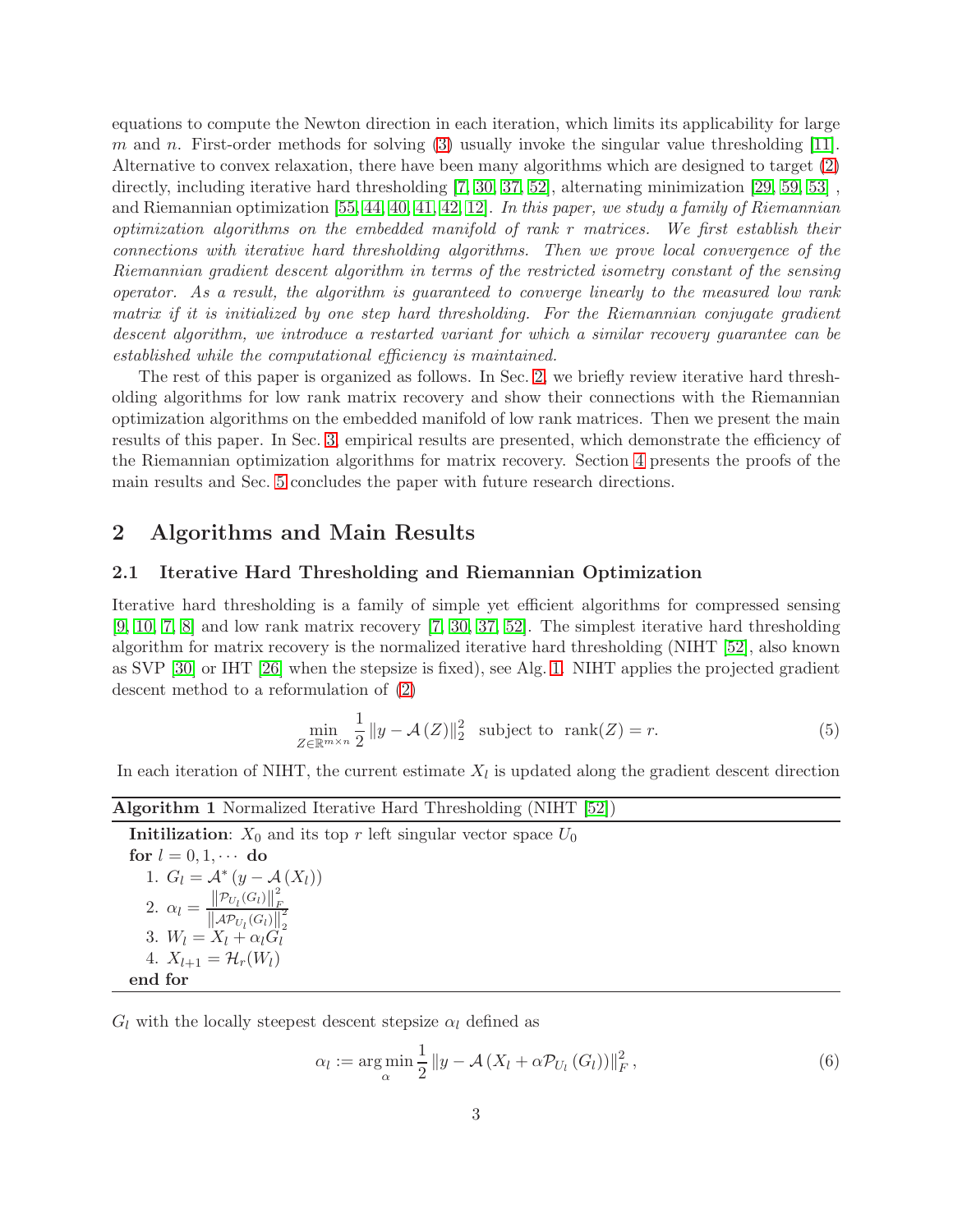equations to compute the Newton direction in each iteration, which limits its applicability for large m and n. First-order methods for solving  $(3)$  usually invoke the singular value thresholding [\[11\]](#page-22-4). Alternative to convex relaxation, there have been many algorithms which are designed to target [\(2\)](#page-1-0) directly, including iterative hard thresholding [\[7,](#page-22-5) [30,](#page-23-8) [37,](#page-24-5) [52\]](#page-25-1), alternating minimization [\[29,](#page-23-9) [59,](#page-25-2) [53\]](#page-25-3) , and Riemannian optimization [\[55,](#page-25-4) [44,](#page-24-6) [40,](#page-24-7) [41,](#page-24-8) [42,](#page-24-9) [12\]](#page-22-6). In this paper, we study a family of Riemannian optimization algorithms on the embedded manifold of rank r matrices. We first establish their connections with iterative hard thresholding algorithms. Then we prove local convergence of the Riemannian gradient descent algorithm in terms of the restricted isometry constant of the sensing operator. As a result, the algorithm is guaranteed to converge linearly to the measured low rank matrix if it is initialized by one step hard thresholding. For the Riemannian conjugate gradient descent algorithm, we introduce a restarted variant for which a similar recovery guarantee can be established while the computational efficiency is maintained.

The rest of this paper is organized as follows. In Sec. [2,](#page-2-0) we briefly review iterative hard thresholding algorithms for low rank matrix recovery and show their connections with the Riemannian optimization algorithms on the embedded manifold of low rank matrices. Then we present the main results of this paper. In Sec. [3,](#page-9-0) empirical results are presented, which demonstrate the efficiency of the Riemannian optimization algorithms for matrix recovery. Section [4](#page-12-0) presents the proofs of the main results and Sec. [5](#page-21-0) concludes the paper with future research directions.

### <span id="page-2-0"></span>2 Algorithms and Main Results

#### 2.1 Iterative Hard Thresholding and Riemannian Optimization

Iterative hard thresholding is a family of simple yet efficient algorithms for compressed sensing [\[9,](#page-22-7) [10,](#page-22-8) [7,](#page-22-5) [8\]](#page-22-9) and low rank matrix recovery [\[7,](#page-22-5) [30,](#page-23-8) [37,](#page-24-5) [52\]](#page-25-1). The simplest iterative hard thresholding algorithm for matrix recovery is the normalized iterative hard thresholding (NIHT [\[52\]](#page-25-1), also known as SVP [\[30\]](#page-23-8) or IHT [\[26\]](#page-23-10) when the stepsize is fixed), see Alg. [1.](#page-2-1) NIHT applies the projected gradient descent method to a reformulation of [\(2\)](#page-1-0)

$$
\min_{Z \in \mathbb{R}^{m \times n}} \frac{1}{2} \|y - \mathcal{A}(Z)\|_2^2 \quad \text{subject to } \text{rank}(Z) = r. \tag{5}
$$

<span id="page-2-1"></span>In each iteration of NIHT, the current estimate  $X_l$  is updated along the gradient descent direction

|  |  | Algorithm 1 Normalized Iterative Hard Thresholding (NIHT [52]) |  |
|--|--|----------------------------------------------------------------|--|
|  |  |                                                                |  |

| <b>Initilization:</b> $X_0$ and its top r left singular vector space $U_0$                                                  |
|-----------------------------------------------------------------------------------------------------------------------------|
| for $l = 0, 1, \cdots$ do                                                                                                   |
| 1. $G_l = \mathcal{A}^*(y - \mathcal{A}(X_l))$                                                                              |
| 2. $\alpha_l = \frac{\left\  \mathcal{P}_{U_l}(G_l) \right\ _F^2}{\left\  \mathcal{A} \mathcal{P}_{U_l}(G_l) \right\ _2^2}$ |
| 3. $W_l = X_l + \alpha_l G_l$                                                                                               |
| 4. $X_{l+1} = \mathcal{H}_r(W_l)$                                                                                           |
| end for                                                                                                                     |

 $G_l$  with the locally steepest descent stepsize  $\alpha_l$  defined as

<span id="page-2-2"></span>
$$
\alpha_l := \underset{\alpha}{\arg\min} \frac{1}{2} \|y - \mathcal{A}(X_l + \alpha \mathcal{P}_{U_l}(G_l))\|_F^2, \tag{6}
$$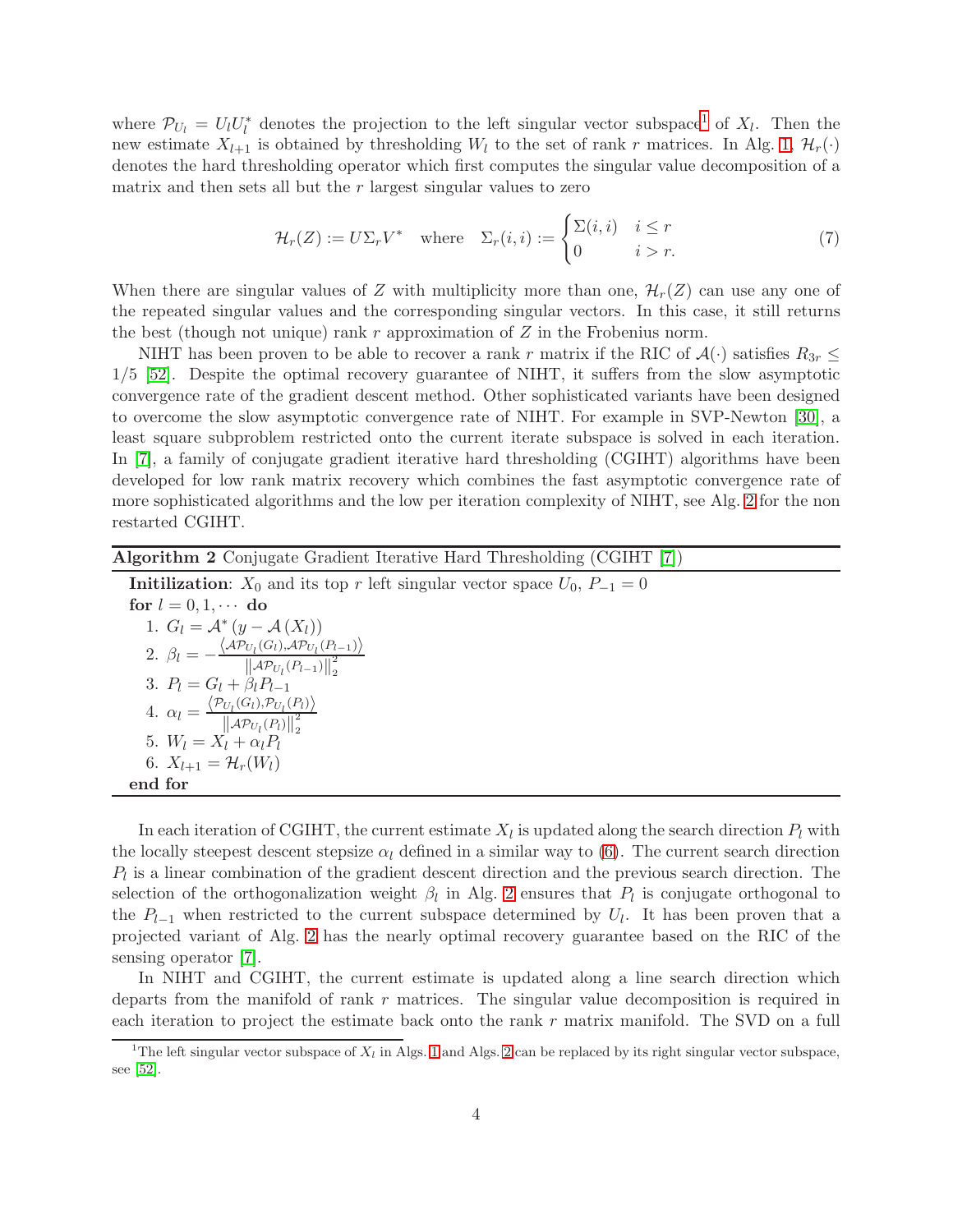where  $\mathcal{P}_{U_l} = U_l U_l^*$  denotes the projection to the left singular vector subspace<sup>[1](#page-3-0)</sup> of  $X_l$ . Then the new estimate  $X_{l+1}$  is obtained by thresholding  $W_l$  to the set of rank r matrices. In Alg. [1,](#page-2-1)  $\mathcal{H}_r(\cdot)$ denotes the hard thresholding operator which first computes the singular value decomposition of a matrix and then sets all but the  $r$  largest singular values to zero

$$
\mathcal{H}_r(Z) := U\Sigma_r V^* \quad \text{where} \quad \Sigma_r(i, i) := \begin{cases} \Sigma(i, i) & i \le r \\ 0 & i > r. \end{cases} \tag{7}
$$

When there are singular values of Z with multiplicity more than one,  $\mathcal{H}_r(Z)$  can use any one of the repeated singular values and the corresponding singular vectors. In this case, it still returns the best (though not unique) rank  $r$  approximation of  $Z$  in the Frobenius norm.

NIHT has been proven to be able to recover a rank r matrix if the RIC of  $\mathcal{A}(\cdot)$  satisfies  $R_{3r} \leq$ 1/5 [\[52\]](#page-25-1). Despite the optimal recovery guarantee of NIHT, it suffers from the slow asymptotic convergence rate of the gradient descent method. Other sophisticated variants have been designed to overcome the slow asymptotic convergence rate of NIHT. For example in SVP-Newton [\[30\]](#page-23-8), a least square subproblem restricted onto the current iterate subspace is solved in each iteration. In [\[7\]](#page-22-5), a family of conjugate gradient iterative hard thresholding (CGIHT) algorithms have been developed for low rank matrix recovery which combines the fast asymptotic convergence rate of more sophisticated algorithms and the low per iteration complexity of NIHT, see Alg. [2](#page-3-1) for the non restarted CGIHT.

<span id="page-3-1"></span>

| <b>Algorithm 2</b> Conjugate Gradient Iterative Hard Thresholding (CGIHT [7])                                                                          |
|--------------------------------------------------------------------------------------------------------------------------------------------------------|
| <b>Initilization:</b> $X_0$ and its top r left singular vector space $U_0$ , $P_{-1} = 0$                                                              |
| for $l = 0, 1, \cdots$ do                                                                                                                              |
| 1. $G_l = \mathcal{A}^*(y - \mathcal{A}(X_l))$                                                                                                         |
| 2. $\beta_l = -\frac{\langle \mathcal{AP}_{U_l}(G_l), \mathcal{AP}_{U_l}(P_{l-1}) \rangle}{\ \mathcal{AP}_{U_l}(P_{l-1})\ _2^2}$                       |
| 3. $P_l = G_l + \beta_l P_{l-1}$                                                                                                                       |
| 4. $\alpha_l = \frac{\langle \mathcal{P}_{U_l}(G_l), \mathcal{P}_{U_l}(P_l) \rangle}{\ \mathcal{A}\mathcal{P}_{U_l}(P_l)\ _{\scriptscriptstyle{2}}^2}$ |
| 5. $W_l = X_l + \alpha_l P_l$                                                                                                                          |
| 6. $X_{l+1} = \mathcal{H}_r(W_l)$                                                                                                                      |
| end for                                                                                                                                                |
|                                                                                                                                                        |

In each iteration of CGIHT, the current estimate  $X_l$  is updated along the search direction  $P_l$  with the locally steepest descent stepsize  $\alpha_l$  defined in a similar way to [\(6\)](#page-2-2). The current search direction  $P_l$  is a linear combination of the gradient descent direction and the previous search direction. The selection of the orthogonalization weight  $\beta_l$  in Alg. [2](#page-3-1) ensures that  $P_l$  is conjugate orthogonal to the  $P_{l-1}$  when restricted to the current subspace determined by  $U_l$ . It has been proven that a projected variant of Alg. [2](#page-3-1) has the nearly optimal recovery guarantee based on the RIC of the sensing operator [\[7\]](#page-22-5).

In NIHT and CGIHT, the current estimate is updated along a line search direction which departs from the manifold of rank r matrices. The singular value decomposition is required in each iteration to project the estimate back onto the rank  $r$  matrix manifold. The SVD on a full

<span id="page-3-0"></span><sup>&</sup>lt;sup>1</sup>The left singular vector subspace of  $X_l$  in Algs. [1](#page-2-1) and Algs. [2](#page-3-1) can be replaced by its right singular vector subspace, see [\[52\]](#page-25-1).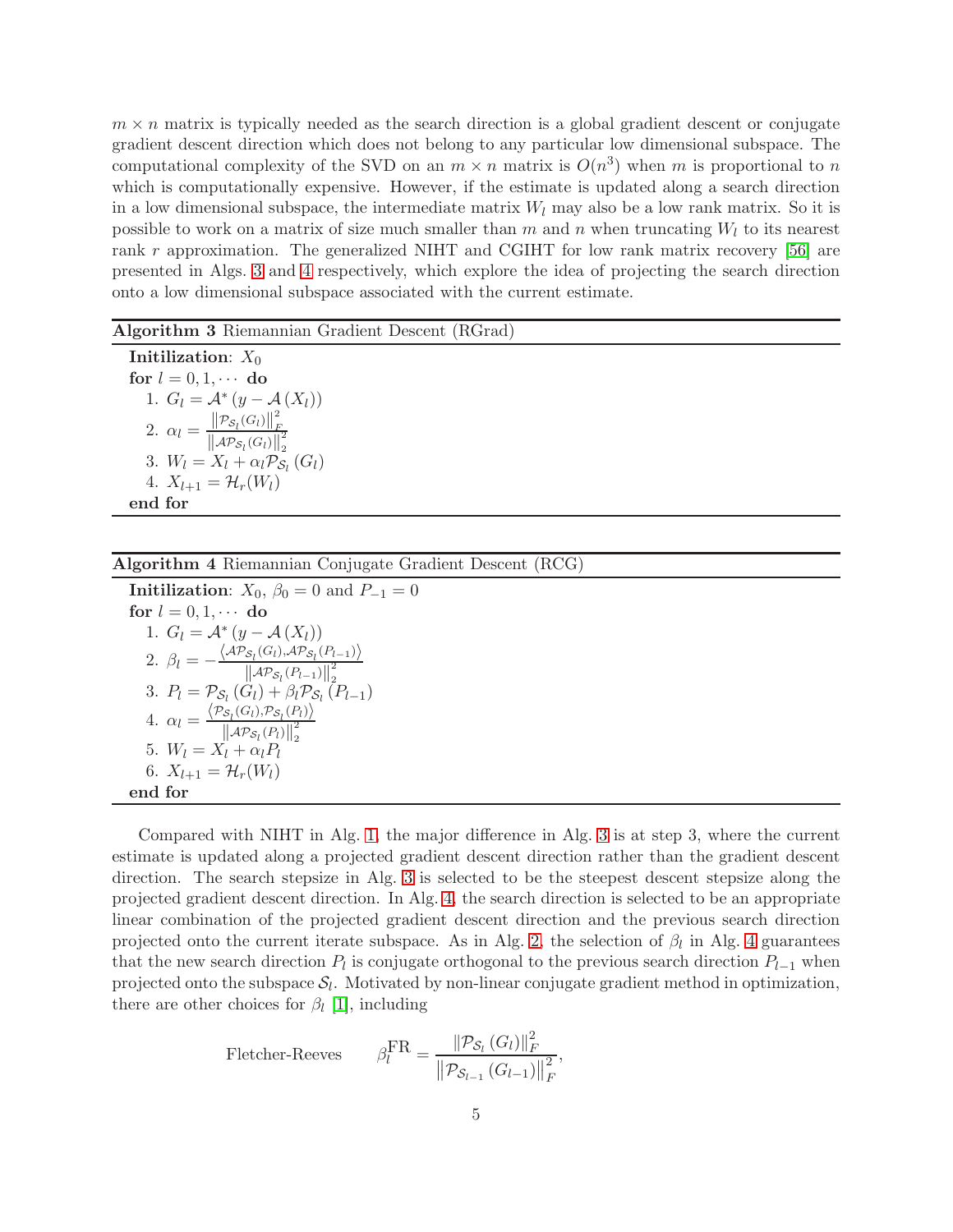$m \times n$  matrix is typically needed as the search direction is a global gradient descent or conjugate gradient descent direction which does not belong to any particular low dimensional subspace. The computational complexity of the SVD on an  $m \times n$  matrix is  $O(n^3)$  when m is proportional to n which is computationally expensive. However, if the estimate is updated along a search direction in a low dimensional subspace, the intermediate matrix  $W_l$  may also be a low rank matrix. So it is possible to work on a matrix of size much smaller than m and n when truncating  $W_l$  to its nearest rank r approximation. The generalized NIHT and CGIHT for low rank matrix recovery [\[56\]](#page-25-5) are presented in Algs. [3](#page-4-0) and [4](#page-4-1) respectively, which explore the idea of projecting the search direction onto a low dimensional subspace associated with the current estimate.

<span id="page-4-0"></span>

| Algorithm 3 Riemannian Gradient Descent (RGrad) |  |  |  |  |
|-------------------------------------------------|--|--|--|--|
|-------------------------------------------------|--|--|--|--|

Initilization:  $X_0$ for  $l = 0, 1, \cdots$  do 1.  $G_l = \mathcal{A}^*(y - \mathcal{A}(X_l))$ 2.  $\alpha_l = \frac{\left\| \mathcal{P}_{\mathcal{S}_l}(G_l) \right\|_F^2}{\left\| \mathcal{A}(\mathcal{P}_{\mathcal{S}_l}(G_l)) \right\|_F^2}$ F  $\left\| \mathcal{AP}_{\mathcal{S}_l}(G_l) \right\|_2^2$ 2 3.  $W_l = X_l + \alpha_l \mathcal{P}_{\mathcal{S}_l} (G_l)$ 4.  $X_{l+1} = \mathcal{H}_r(W_l)$ end for

<span id="page-4-1"></span>Algorithm 4 Riemannian Conjugate Gradient Descent (RCG)

**Initilization:**  $X_0$ ,  $\beta_0 = 0$  and  $P_{-1} = 0$ for  $l = 0, 1, \cdots$  do 1.  $G_l = \mathcal{A}^*(y - \mathcal{A}(X_l))$  $(y - A(X_l))$ 2.  $\beta_l = -\frac{\langle AP_{\mathcal{S}_l}(G_l), AP_{\mathcal{S}_l}(P_{l-1})\rangle}{\|\mathcal{A}\mathcal{P}_{\mathcal{S}_l}(P_{l-1})\|^2}$  $\left\| \mathcal{AP}_{\mathcal{S}_l}(P_{l-1}) \right\|_2^2$ 3.  $P_l = \mathcal{P}_{S_l} (G_l) + \beta_l \mathcal{P}_{S_l} (P_{l-1})$ 4.  $\alpha_l = \frac{\langle \mathcal{P}_{\mathcal{S}_l}(G_l), \mathcal{P}_{\mathcal{S}_l}(P_l) \rangle}{\|\mathcal{A}\mathcal{P}_{\mathcal{S}_l}(P_l)\|^2}$  $\left\| \mathcal{AP}_{\mathcal{S}_l}(P_l) \right\|_2^2$ 5.  $W_l = X_l^{||\mathcal{A}_l \cdot s_l \cdot t_l \cdot t_l||_2}$ 6.  $X_{l+1} = \mathcal{H}_r(W_l)$ end for

Compared with NIHT in Alg. [1,](#page-2-1) the major difference in Alg. [3](#page-4-0) is at step 3, where the current estimate is updated along a projected gradient descent direction rather than the gradient descent direction. The search stepsize in Alg. [3](#page-4-0) is selected to be the steepest descent stepsize along the projected gradient descent direction. In Alg. [4,](#page-4-1) the search direction is selected to be an appropriate linear combination of the projected gradient descent direction and the previous search direction projected onto the current iterate subspace. As in Alg. [2,](#page-3-1) the selection of  $\beta_l$  in Alg. [4](#page-4-1) guarantees that the new search direction  $P_l$  is conjugate orthogonal to the previous search direction  $P_{l-1}$  when projected onto the subspace  $S_l$ . Motivated by non-linear conjugate gradient method in optimization, there are other choices for  $\beta_l$  [\[1\]](#page-22-10), including

$$
\text{Fletcher-Reeves} \qquad \beta_l^{\text{FR}} = \frac{\|\mathcal{P}_{\mathcal{S}_l}(G_l)\|_F^2}{\|\mathcal{P}_{\mathcal{S}_{l-1}}(G_{l-1})\|_F^2},
$$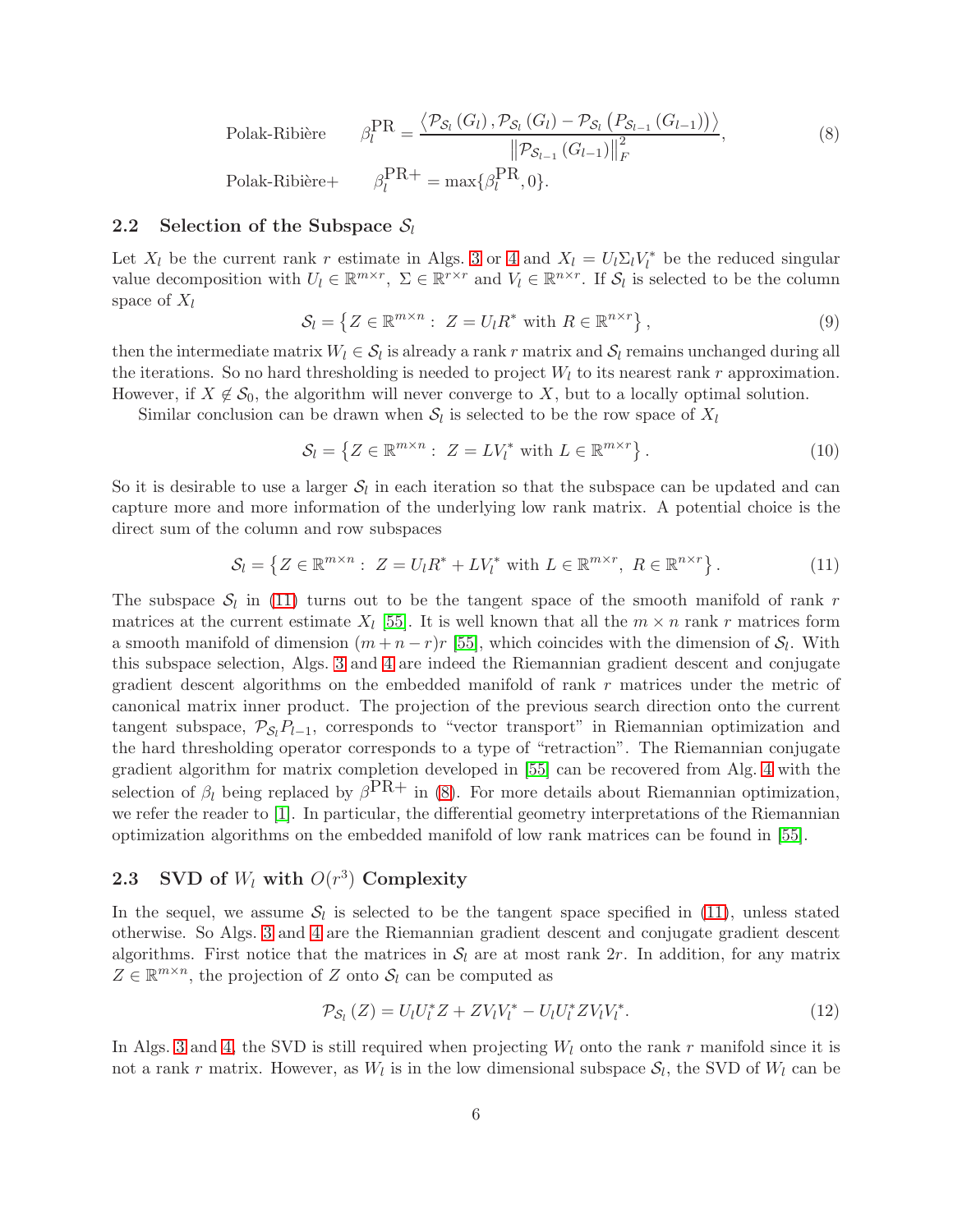Polak-Ribière  $_{l}^{\text{PR}}$  =  $\langle \mathcal{P}_{\mathcal{S}_l}(G_l), \mathcal{P}_{\mathcal{S}_l}(G_l) - \mathcal{P}_{\mathcal{S}_l}(P_{\mathcal{S}_{l-1}}(G_{l-1})) \rangle$  $||P_{S_{l-1}}(G_{l-1})||$ 2 F , (8) Polak-Ribière+  ${}_{l}^{PR+} = \max\{\beta_{l}^{PR}, 0\}.$ 

#### <span id="page-5-2"></span>2.2 Selection of the Subspace  $S_l$

Let  $X_l$  be the current rank r estimate in Algs. [3](#page-4-0) or [4](#page-4-1) and  $X_l = U_l \Sigma_l V_l^*$  be the reduced singular value decomposition with  $U_l \in \mathbb{R}^{m \times r}$ ,  $\Sigma \in \mathbb{R}^{r \times r}$  and  $V_l \in \mathbb{R}^{n \times r}$ . If  $S_l$  is selected to be the column space of  $X_l$ 

<span id="page-5-1"></span>
$$
S_l = \left\{ Z \in \mathbb{R}^{m \times n} : Z = U_l R^* \text{ with } R \in \mathbb{R}^{n \times r} \right\},\tag{9}
$$

then the intermediate matrix  $W_l \in \mathcal{S}_l$  is already a rank r matrix and  $\mathcal{S}_l$  remains unchanged during all the iterations. So no hard thresholding is needed to project  $W_l$  to its nearest rank r approximation. However, if  $X \notin \mathcal{S}_0$ , the algorithm will never converge to X, but to a locally optimal solution.

Similar conclusion can be drawn when  $S_l$  is selected to be the row space of  $X_l$ 

$$
\mathcal{S}_l = \left\{ Z \in \mathbb{R}^{m \times n} : Z = LV_l^* \text{ with } L \in \mathbb{R}^{m \times r} \right\}. \tag{10}
$$

So it is desirable to use a larger  $S_l$  in each iteration so that the subspace can be updated and can capture more and more information of the underlying low rank matrix. A potential choice is the direct sum of the column and row subspaces

<span id="page-5-0"></span>
$$
\mathcal{S}_l = \left\{ Z \in \mathbb{R}^{m \times n} : Z = U_l R^* + L V_l^* \text{ with } L \in \mathbb{R}^{m \times r}, R \in \mathbb{R}^{n \times r} \right\}. \tag{11}
$$

The subspace  $S_l$  in [\(11\)](#page-5-0) turns out to be the tangent space of the smooth manifold of rank r matrices at the current estimate  $X_l$  [\[55\]](#page-25-4). It is well known that all the  $m \times n$  rank r matrices form a smooth manifold of dimension  $(m+n-r)r$  [\[55\]](#page-25-4), which coincides with the dimension of  $S_l$ . With this subspace selection, Algs. [3](#page-4-0) and [4](#page-4-1) are indeed the Riemannian gradient descent and conjugate gradient descent algorithms on the embedded manifold of rank r matrices under the metric of canonical matrix inner product. The projection of the previous search direction onto the current tangent subspace,  $\mathcal{P}_{S_1}P_{l-1}$ , corresponds to "vector transport" in Riemannian optimization and the hard thresholding operator corresponds to a type of "retraction". The Riemannian conjugate gradient algorithm for matrix completion developed in [\[55\]](#page-25-4) can be recovered from Alg. [4](#page-4-1) with the selection of  $\beta_l$  being replaced by  $\beta^{\text{PR}+}$  in [\(8\)](#page-5-1). For more details about Riemannian optimization, we refer the reader to [\[1\]](#page-22-10). In particular, the differential geometry interpretations of the Riemannian optimization algorithms on the embedded manifold of low rank matrices can be found in [\[55\]](#page-25-4).

# 2.3 SVD of  $W_l$  with  $O(r^3)$  Complexity

In the sequel, we assume  $S_l$  is selected to be the tangent space specified in [\(11\)](#page-5-0), unless stated otherwise. So Algs. [3](#page-4-0) and [4](#page-4-1) are the Riemannian gradient descent and conjugate gradient descent algorithms. First notice that the matrices in  $S_l$  are at most rank  $2r$ . In addition, for any matrix  $Z \in \mathbb{R}^{m \times n}$ , the projection of Z onto  $S_l$  can be computed as

$$
\mathcal{P}_{\mathcal{S}_l}(Z) = U_l U_l^* Z + Z V_l V_l^* - U_l U_l^* Z V_l V_l^*.
$$
\n(12)

In Algs. [3](#page-4-0) and [4,](#page-4-1) the SVD is still required when projecting  $W_l$  onto the rank r manifold since it is not a rank r matrix. However, as  $W_l$  is in the low dimensional subspace  $S_l$ , the SVD of  $W_l$  can be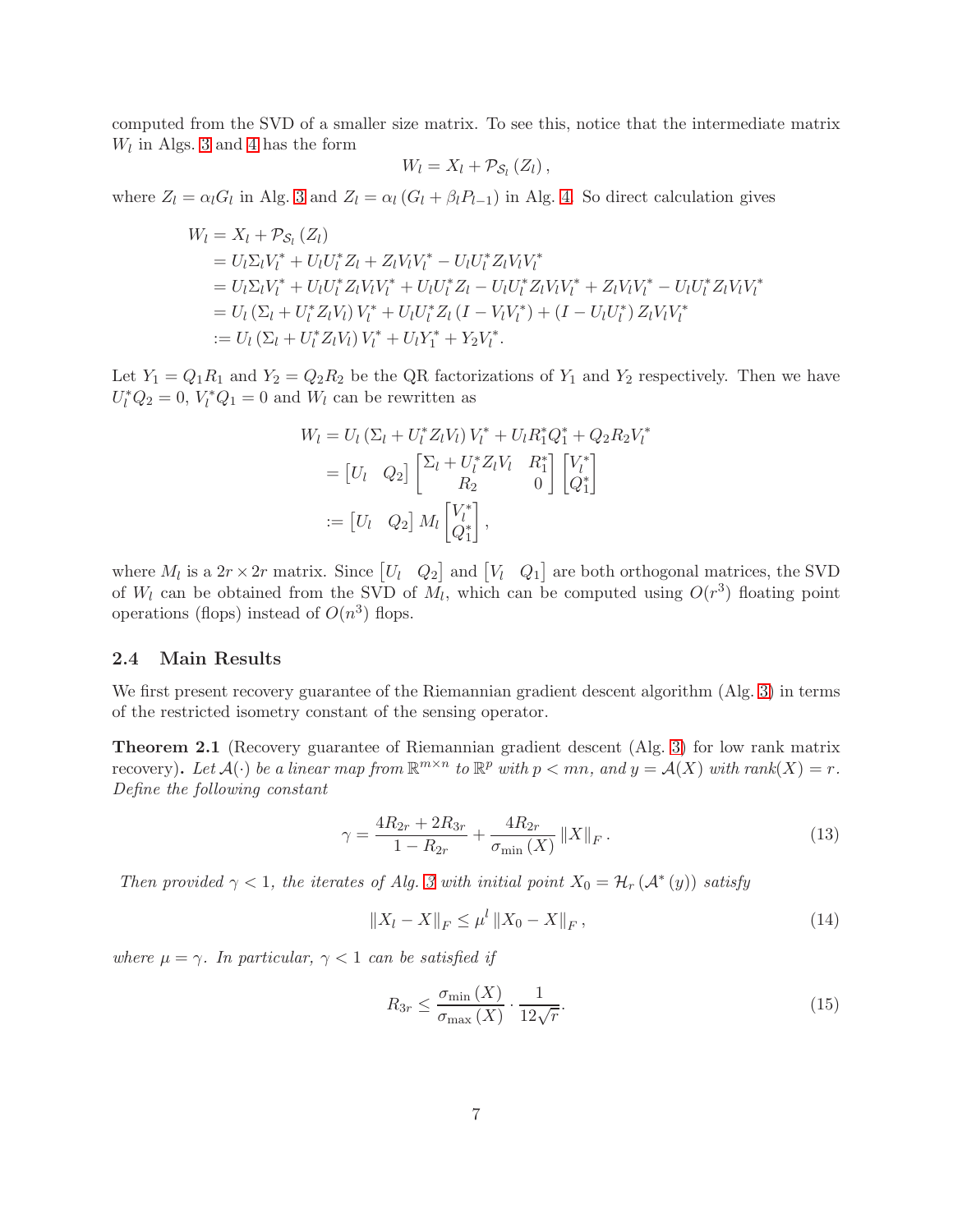computed from the SVD of a smaller size matrix. To see this, notice that the intermediate matrix  $W_l$  in Algs. [3](#page-4-0) and [4](#page-4-1) has the form

$$
W_{l}=X_{l}+\mathcal{P}_{\mathcal{S}_{l}}\left(Z_{l}\right),
$$

where  $Z_l = \alpha_l G_l$  in Alg. [3](#page-4-0) and  $Z_l = \alpha_l (G_l + \beta_l P_{l-1})$  in Alg. [4.](#page-4-1) So direct calculation gives

$$
W_l = X_l + \mathcal{P}_{S_l} (Z_l)
$$
  
=  $U_l \Sigma_l V_l^* + U_l U_l^* Z_l + Z_l V_l V_l^* - U_l U_l^* Z_l V_l V_l^*$   
=  $U_l \Sigma_l V_l^* + U_l U_l^* Z_l V_l V_l^* + U_l U_l^* Z_l - U_l U_l^* Z_l V_l V_l^* + Z_l V_l V_l^* - U_l U_l^* Z_l V_l V_l^*$   
=  $U_l (\Sigma_l + U_l^* Z_l V_l) V_l^* + U_l U_l^* Z_l (I - V_l V_l^*) + (I - U_l U_l^*) Z_l V_l V_l^*$   
:=  $U_l (\Sigma_l + U_l^* Z_l V_l) V_l^* + U_l Y_l^* + Y_2 V_l^*.$ 

Let  $Y_1 = Q_1 R_1$  and  $Y_2 = Q_2 R_2$  be the QR factorizations of  $Y_1$  and  $Y_2$  respectively. Then we have  $U_l^* Q_2 = 0$ ,  $V_l^* Q_1 = 0$  and  $W_l$  can be rewritten as

$$
W_l = U_l \left( \Sigma_l + U_l^* Z_l V_l \right) V_l^* + U_l R_1^* Q_1^* + Q_2 R_2 V_l^*
$$
  
=  $\begin{bmatrix} U_l & Q_2 \end{bmatrix} \begin{bmatrix} \Sigma_l + U_l^* Z_l V_l & R_1^* \\ R_2 & 0 \end{bmatrix} \begin{bmatrix} V_l^* \\ Q_1^* \end{bmatrix}$   
:=  $\begin{bmatrix} U_l & Q_2 \end{bmatrix} M_l \begin{bmatrix} V_l^* \\ Q_1^* \end{bmatrix}$ ,

where  $M_l$  is a  $2r \times 2r$  matrix. Since  $[U_l \ Q_2]$  and  $[V_l \ Q_1]$  are both orthogonal matrices, the SVD of  $W_l$  can be obtained from the SVD of  $M_l$ , which can be computed using  $O(r^3)$  floating point operations (flops) instead of  $O(n^3)$  flops.

#### 2.4 Main Results

We first present recovery guarantee of the Riemannian gradient descent algorithm (Alg. [3\)](#page-4-0) in terms of the restricted isometry constant of the sensing operator.

<span id="page-6-1"></span>Theorem 2.1 (Recovery guarantee of Riemannian gradient descent (Alg. [3\)](#page-4-0) for low rank matrix recovery). Let  $\mathcal{A}(\cdot)$  be a linear map from  $\mathbb{R}^{m \times n}$  to  $\mathbb{R}^p$  with  $p < mn$ , and  $y = \mathcal{A}(X)$  with rank $(X) = r$ . Define the following constant

<span id="page-6-0"></span>
$$
\gamma = \frac{4R_{2r} + 2R_{3r}}{1 - R_{2r}} + \frac{4R_{2r}}{\sigma_{\min}(X)} \|X\|_F.
$$
\n(13)

Then provided  $\gamma < 1$ , the iterates of Alg. [3](#page-4-0) with initial point  $X_0 = \mathcal{H}_r(\mathcal{A}^*(y))$  satisfy

$$
||X_l - X||_F \le \mu^l ||X_0 - X||_F, \qquad (14)
$$

where  $\mu = \gamma$ . In particular,  $\gamma < 1$  can be satisfied if

<span id="page-6-2"></span>
$$
R_{3r} \le \frac{\sigma_{\min}(X)}{\sigma_{\max}(X)} \cdot \frac{1}{12\sqrt{r}}.\tag{15}
$$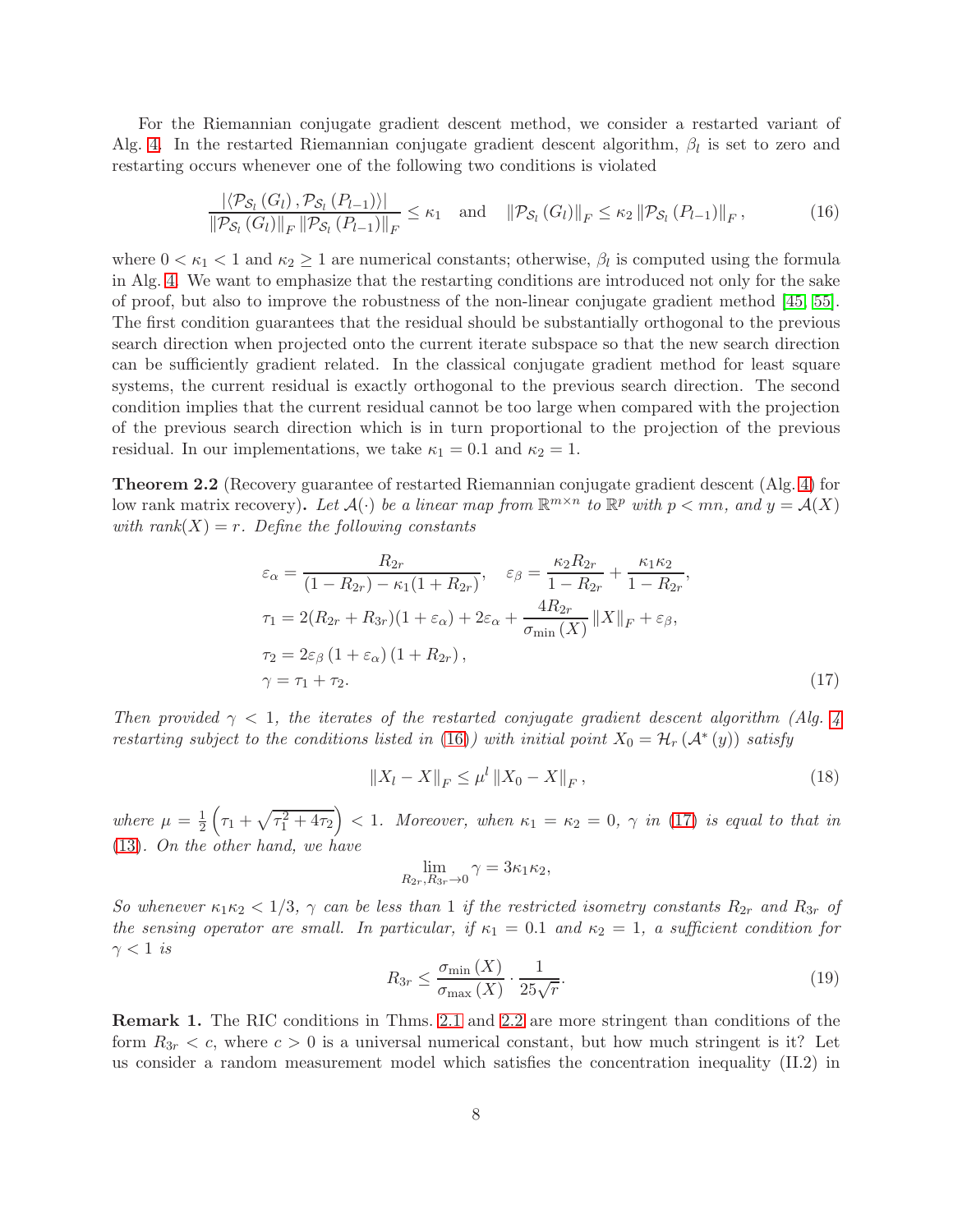For the Riemannian conjugate gradient descent method, we consider a restarted variant of Alg. [4.](#page-4-1) In the restarted Riemannian conjugate gradient descent algorithm,  $\beta_l$  is set to zero and restarting occurs whenever one of the following two conditions is violated

<span id="page-7-0"></span>
$$
\frac{\left|\left\langle \mathcal{P}_{\mathcal{S}_l}(G_l), \mathcal{P}_{\mathcal{S}_l}(P_{l-1})\right\rangle\right|}{\left\|\mathcal{P}_{\mathcal{S}_l}(G_l)\right\|_F \left\|\mathcal{P}_{\mathcal{S}_l}(P_{l-1})\right\|_F} \leq \kappa_1 \quad \text{and} \quad \left\|\mathcal{P}_{\mathcal{S}_l}(G_l)\right\|_F \leq \kappa_2 \left\|\mathcal{P}_{\mathcal{S}_l}(P_{l-1})\right\|_F, \tag{16}
$$

where  $0 < \kappa_1 < 1$  and  $\kappa_2 \ge 1$  are numerical constants; otherwise,  $\beta_l$  is computed using the formula in Alg. [4.](#page-4-1) We want to emphasize that the restarting conditions are introduced not only for the sake of proof, but also to improve the robustness of the non-linear conjugate gradient method [\[45,](#page-24-10) [55\]](#page-25-4). The first condition guarantees that the residual should be substantially orthogonal to the previous search direction when projected onto the current iterate subspace so that the new search direction can be sufficiently gradient related. In the classical conjugate gradient method for least square systems, the current residual is exactly orthogonal to the previous search direction. The second condition implies that the current residual cannot be too large when compared with the projection of the previous search direction which is in turn proportional to the projection of the previous residual. In our implementations, we take  $\kappa_1 = 0.1$  and  $\kappa_2 = 1$ .

<span id="page-7-2"></span>Theorem 2.2 (Recovery guarantee of restarted Riemannian conjugate gradient descent (Alg. [4\)](#page-4-1) for low rank matrix recovery). Let  $\mathcal{A}(\cdot)$  be a linear map from  $\mathbb{R}^{m \times n}$  to  $\mathbb{R}^p$  with  $p < mn$ , and  $y = \mathcal{A}(X)$ with rank $(X) = r$ . Define the following constants

$$
\varepsilon_{\alpha} = \frac{R_{2r}}{(1 - R_{2r}) - \kappa_1 (1 + R_{2r})}, \quad \varepsilon_{\beta} = \frac{\kappa_2 R_{2r}}{1 - R_{2r}} + \frac{\kappa_1 \kappa_2}{1 - R_{2r}},
$$
  
\n
$$
\tau_1 = 2(R_{2r} + R_{3r})(1 + \varepsilon_{\alpha}) + 2\varepsilon_{\alpha} + \frac{4R_{2r}}{\sigma_{\min}(X)} ||X||_F + \varepsilon_{\beta},
$$
  
\n
$$
\tau_2 = 2\varepsilon_{\beta} (1 + \varepsilon_{\alpha}) (1 + R_{2r}),
$$
  
\n
$$
\gamma = \tau_1 + \tau_2.
$$
\n(17)

Then provided  $\gamma < 1$ , the iterates of the restarted conjugate gradient descent algorithm (Alg. [4](#page-4-1)) restarting subject to the conditions listed in [\(16\)](#page-7-0)) with initial point  $X_0 = H_r(\mathcal{A}^*(y))$  satisfy

<span id="page-7-1"></span>
$$
||X_l - X||_F \le \mu^l ||X_0 - X||_F,
$$
\n(18)

where  $\mu = \frac{1}{2} \left( \tau_1 + \sqrt{\tau_1^2 + 4\tau_2} \right)$  < 1. Moreover, when  $\kappa_1 = \kappa_2 = 0$ ,  $\gamma$  in [\(17\)](#page-7-1) is equal to that in [\(13\)](#page-6-0). On the other hand, we have

$$
\lim_{R_{2r}, R_{3r}\to 0} \gamma = 3\kappa_1 \kappa_2,
$$

So whenever  $\kappa_1\kappa_2 < 1/3$ ,  $\gamma$  can be less than 1 if the restricted isometry constants  $R_{2r}$  and  $R_{3r}$  of the sensing operator are small. In particular, if  $\kappa_1 = 0.1$  and  $\kappa_2 = 1$ , a sufficient condition for  $\gamma < 1$  is

<span id="page-7-3"></span>
$$
R_{3r} \le \frac{\sigma_{\min}(X)}{\sigma_{\max}(X)} \cdot \frac{1}{25\sqrt{r}}.\tag{19}
$$

<span id="page-7-4"></span>Remark 1. The RIC conditions in Thms. [2.1](#page-6-1) and [2.2](#page-7-2) are more stringent than conditions of the form  $R_{3r} < c$ , where  $c > 0$  is a universal numerical constant, but how much stringent is it? Let us consider a random measurement model which satisfies the concentration inequality (II.2) in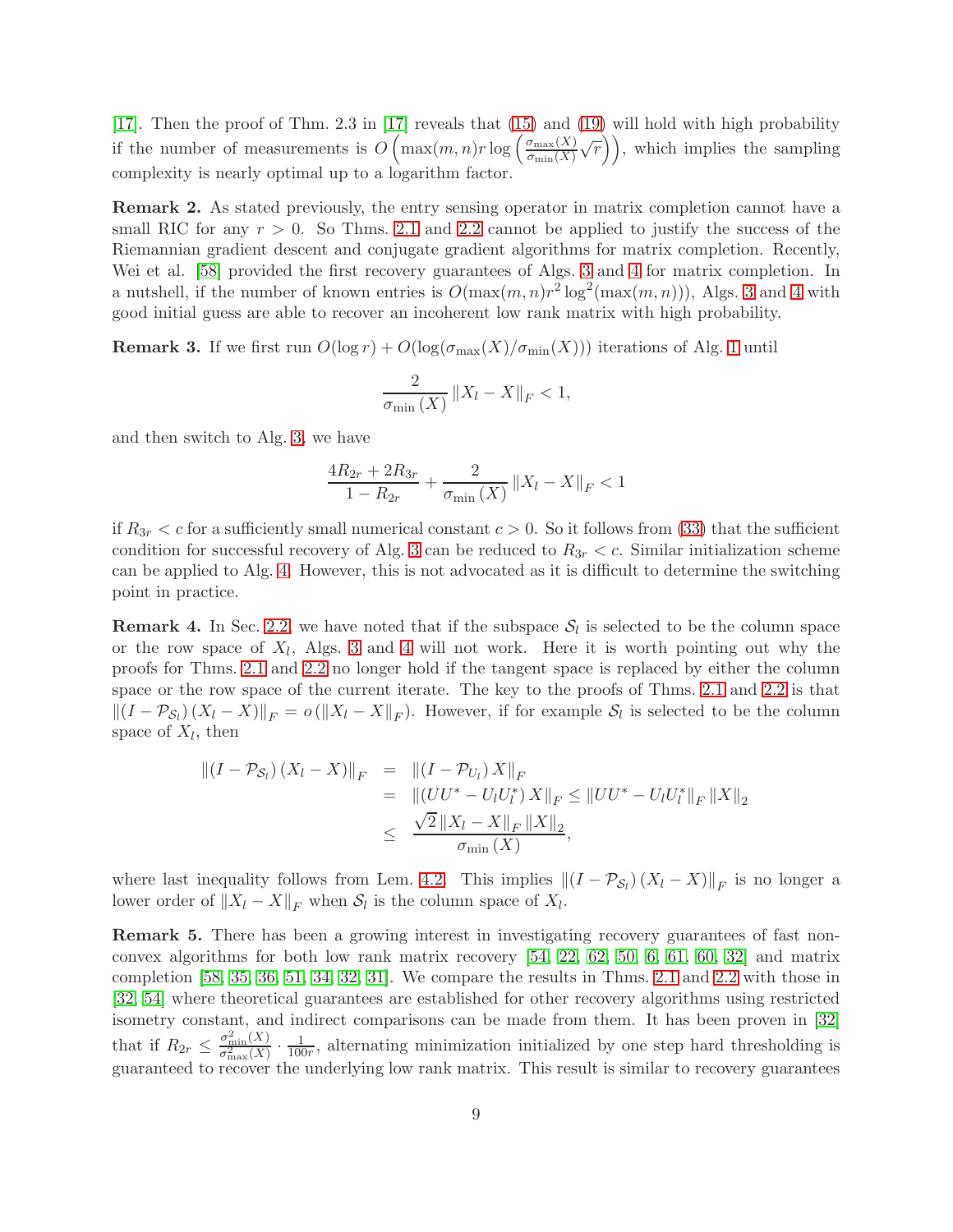[\[17\]](#page-23-4). Then the proof of Thm. 2.3 in [\[17\]](#page-23-4) reveals that [\(15\)](#page-6-2) and [\(19\)](#page-7-3) will hold with high probability if the number of measurements is  $O\left(\max(m,n)r\log\left(\frac{\sigma_{\max}(X)}{\sigma_{\min}(X)}\right)\right)$  $\left(\frac{\sigma_{\max}(X)}{\sigma_{\min}(X)}\sqrt{r}\right)$ , which implies the sampling complexity is nearly optimal up to a logarithm factor.

Remark 2. As stated previously, the entry sensing operator in matrix completion cannot have a small RIC for any  $r > 0$ . So Thms. [2.1](#page-6-1) and [2.2](#page-7-2) cannot be applied to justify the success of the Riemannian gradient descent and conjugate gradient algorithms for matrix completion. Recently, Wei et al. [\[58\]](#page-25-6) provided the first recovery guarantees of Algs. [3](#page-4-0) and [4](#page-4-1) for matrix completion. In a nutshell, if the number of known entries is  $O(\max(m,n)r^2\log^2(\max(m,n)))$ , Algs. [3](#page-4-0) and [4](#page-4-1) with good initial guess are able to recover an incoherent low rank matrix with high probability.

<span id="page-8-0"></span>**Remark 3.** If we first run  $O(\log r) + O(\log(\sigma_{\max}(X)/\sigma_{\min}(X)))$  iterations of Alg. [1](#page-2-1) until

$$
\frac{2}{\sigma_{\min}(X)} \|X_l - X\|_F < 1,
$$

and then switch to Alg. [3,](#page-4-0) we have

$$
\frac{4R_{2r} + 2R_{3r}}{1 - R_{2r}} + \frac{2}{\sigma_{\min}(X)} \|X_l - X\|_F < 1
$$

if  $R_{3r} < c$  for a sufficiently small numerical constant  $c > 0$ . So it follows from [\(33\)](#page-16-0) that the sufficient condition for successful recovery of Alg. [3](#page-4-0) can be reduced to  $R_{3r} < c$ . Similar initialization scheme can be applied to Alg. [4.](#page-4-1) However, this is not advocated as it is difficult to determine the switching point in practice.

**Remark 4.** In Sec. [2.2,](#page-5-2) we have noted that if the subspace  $S_l$  is selected to be the column space or the row space of  $X_l$ , Algs. [3](#page-4-0) and [4](#page-4-1) will not work. Here it is worth pointing out why the proofs for Thms. [2.1](#page-6-1) and [2.2](#page-7-2) no longer hold if the tangent space is replaced by either the column space or the row space of the current iterate. The key to the proofs of Thms. [2.1](#page-6-1) and [2.2](#page-7-2) is that  $||(I - \mathcal{P}_{\mathcal{S}_l})(X_l - X)||_F = o(||X_l - X||_F)$ . However, if for example  $\mathcal{S}_l$  is selected to be the column space of  $X_l$ , then

$$
\begin{aligned} \left\| (I - \mathcal{P}_{\mathcal{S}_l}) \left( X_l - X \right) \right\|_F &= \left\| (I - \mathcal{P}_{U_l}) \, X \right\|_F \\ &= \left\| \left( U U^* - U_l U_l^* \right) X \right\|_F \le \left\| U U^* - U_l U_l^* \right\|_F \left\| X \right\|_2 \\ &\le \frac{\sqrt{2} \left\| X_l - X \right\|_F \left\| X \right\|_2}{\sigma_{\min} \left( X \right)}, \end{aligned}
$$

where last inequality follows from Lem. [4.2.](#page-14-0) This implies  $\|(I - \mathcal{P}_{S_l})(X_l - X)\|_F$  is no longer a lower order of  $||X_l - X||_F$  when  $S_l$  is the column space of  $X_l$ .

Remark 5. There has been a growing interest in investigating recovery guarantees of fast nonconvex algorithms for both low rank matrix recovery [\[54,](#page-25-7) [22,](#page-23-11) [62,](#page-25-8) [50,](#page-25-9) [6,](#page-22-11) [61,](#page-25-10) [60,](#page-25-11) [32\]](#page-24-11) and matrix completion [\[58,](#page-25-6) [35,](#page-24-12) [36,](#page-24-13) [51,](#page-25-12) [34,](#page-24-14) [32,](#page-24-11) [31\]](#page-23-12). We compare the results in Thms. [2.1](#page-6-1) and [2.2](#page-7-2) with those in [\[32,](#page-24-11) [54\]](#page-25-7) where theoretical guarantees are established for other recovery algorithms using restricted isometry constant, and indirect comparisons can be made from them. It has been proven in [\[32\]](#page-24-11) that if  $R_{2r} \leq \frac{\sigma_{\min}^2(X)}{\sigma_{\max}^2(X)}$  $\frac{\sigma_{\min}^2(X)}{\sigma_{\max}^2(X)} \cdot \frac{1}{100r}$ , alternating minimization initialized by one step hard thresholding is guaranteed to recover the underlying low rank matrix. This result is similar to recovery guarantees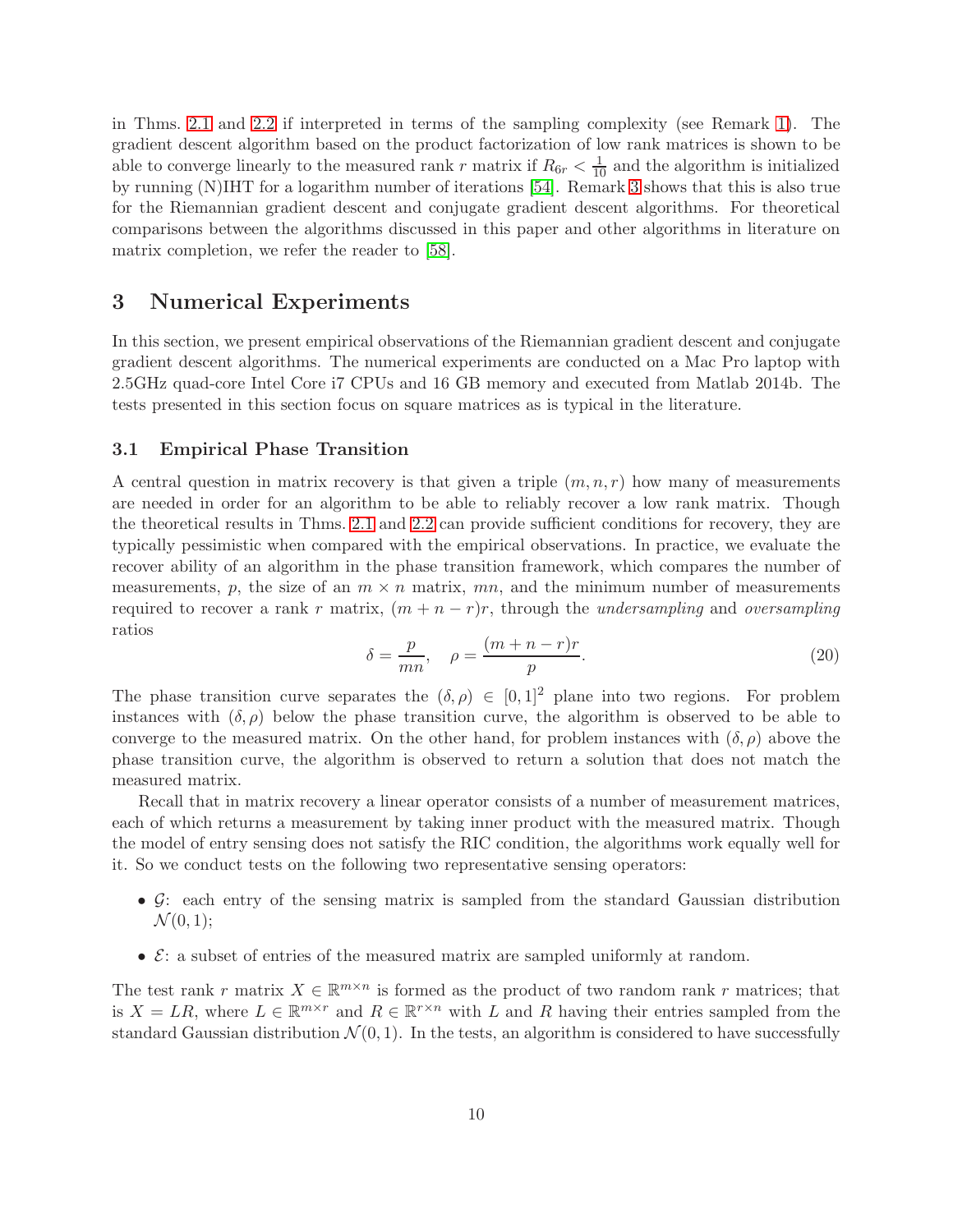in Thms. [2.1](#page-6-1) and [2.2](#page-7-2) if interpreted in terms of the sampling complexity (see Remark [1\)](#page-7-4). The gradient descent algorithm based on the product factorization of low rank matrices is shown to be able to converge linearly to the measured rank r matrix if  $R_{6r} < \frac{1}{10}$  and the algorithm is initialized by running (N)IHT for a logarithm number of iterations [\[54\]](#page-25-7). Remark [3](#page-8-0) shows that this is also true for the Riemannian gradient descent and conjugate gradient descent algorithms. For theoretical comparisons between the algorithms discussed in this paper and other algorithms in literature on matrix completion, we refer the reader to [\[58\]](#page-25-6).

### <span id="page-9-0"></span>3 Numerical Experiments

In this section, we present empirical observations of the Riemannian gradient descent and conjugate gradient descent algorithms. The numerical experiments are conducted on a Mac Pro laptop with 2.5GHz quad-core Intel Core i7 CPUs and 16 GB memory and executed from Matlab 2014b. The tests presented in this section focus on square matrices as is typical in the literature.

#### 3.1 Empirical Phase Transition

A central question in matrix recovery is that given a triple  $(m, n, r)$  how many of measurements are needed in order for an algorithm to be able to reliably recover a low rank matrix. Though the theoretical results in Thms. [2.1](#page-6-1) and [2.2](#page-7-2) can provide sufficient conditions for recovery, they are typically pessimistic when compared with the empirical observations. In practice, we evaluate the recover ability of an algorithm in the phase transition framework, which compares the number of measurements, p, the size of an  $m \times n$  matrix, mn, and the minimum number of measurements required to recover a rank r matrix,  $(m + n - r)r$ , through the *undersampling* and *oversampling* ratios

<span id="page-9-1"></span>
$$
\delta = \frac{p}{mn}, \quad \rho = \frac{(m+n-r)r}{p}.
$$
\n(20)

The phase transition curve separates the  $(\delta, \rho) \in [0, 1]^2$  plane into two regions. For problem instances with  $(\delta, \rho)$  below the phase transition curve, the algorithm is observed to be able to converge to the measured matrix. On the other hand, for problem instances with  $(\delta, \rho)$  above the phase transition curve, the algorithm is observed to return a solution that does not match the measured matrix.

Recall that in matrix recovery a linear operator consists of a number of measurement matrices, each of which returns a measurement by taking inner product with the measured matrix. Though the model of entry sensing does not satisfy the RIC condition, the algorithms work equally well for it. So we conduct tests on the following two representative sensing operators:

- $G:$  each entry of the sensing matrix is sampled from the standard Gaussian distribution  $\mathcal{N}(0, 1);$
- $\mathcal{E}:$  a subset of entries of the measured matrix are sampled uniformly at random.

The test rank r matrix  $X \in \mathbb{R}^{m \times n}$  is formed as the product of two random rank r matrices; that is  $X = LR$ , where  $L \in \mathbb{R}^{m \times r}$  and  $R \in \mathbb{R}^{r \times n}$  with L and R having their entries sampled from the standard Gaussian distribution  $\mathcal{N}(0, 1)$ . In the tests, an algorithm is considered to have successfully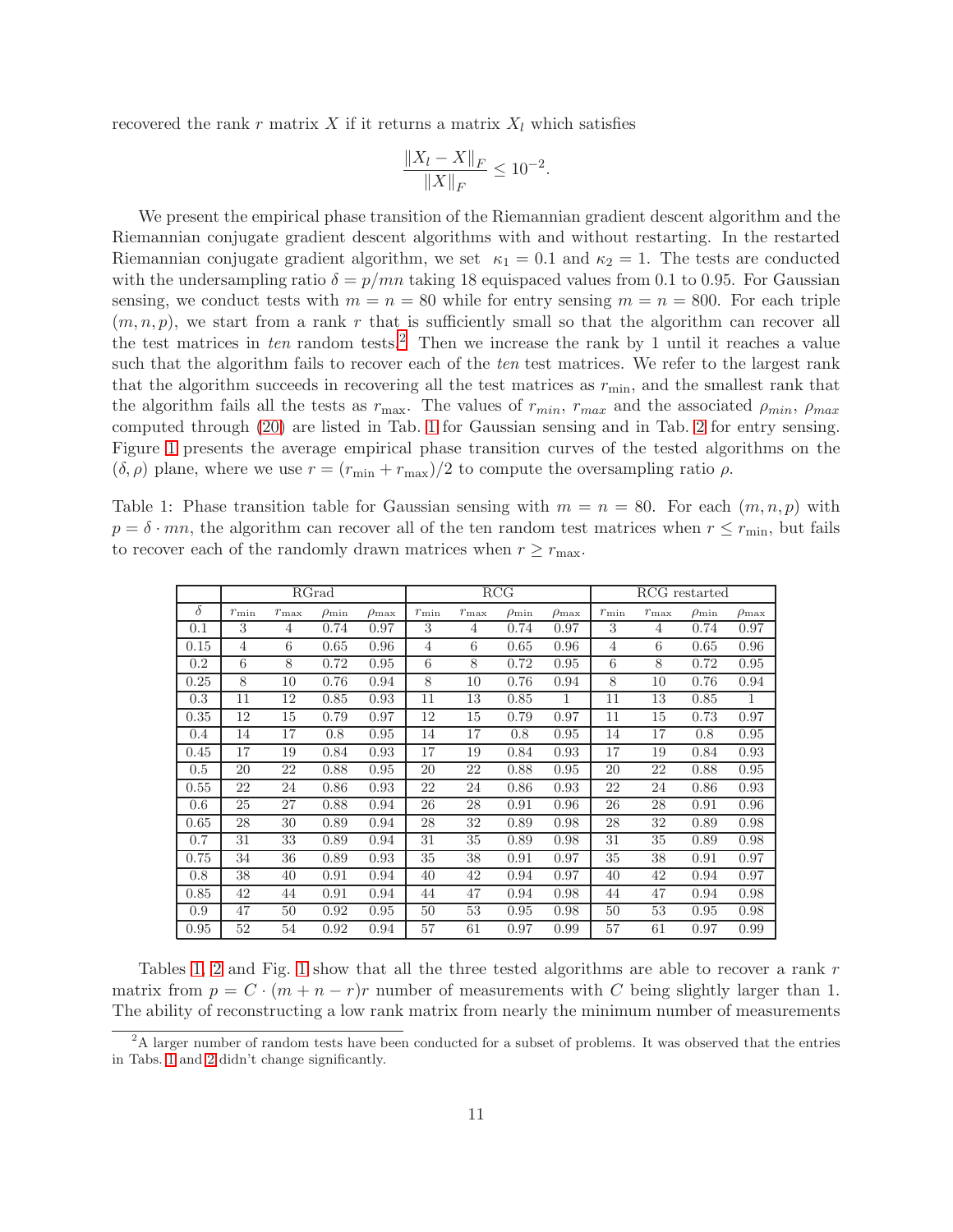recovered the rank r matrix X if it returns a matrix  $X_l$  which satisfies

$$
\frac{\|X_l - X\|_F}{\|X\|_F} \le 10^{-2}.
$$

We present the empirical phase transition of the Riemannian gradient descent algorithm and the Riemannian conjugate gradient descent algorithms with and without restarting. In the restarted Riemannian conjugate gradient algorithm, we set  $\kappa_1 = 0.1$  and  $\kappa_2 = 1$ . The tests are conducted with the undersampling ratio  $\delta = p/mn$  taking 18 equispaced values from 0.1 to 0.95. For Gaussian sensing, we conduct tests with  $m = n = 80$  while for entry sensing  $m = n = 800$ . For each triple  $(m, n, p)$ , we start from a rank r that is sufficiently small so that the algorithm can recover all the test matrices in ten random tests.<sup>[2](#page-10-0)</sup> Then we increase the rank by 1 until it reaches a value such that the algorithm fails to recover each of the ten test matrices. We refer to the largest rank that the algorithm succeeds in recovering all the test matrices as  $r_{\rm min}$ , and the smallest rank that the algorithm fails all the tests as  $r_{\text{max}}$ . The values of  $r_{\text{min}}$ ,  $r_{\text{max}}$  and the associated  $\rho_{\text{min}}$ ,  $\rho_{\text{max}}$ computed through [\(20\)](#page-9-1) are listed in Tab. [1](#page-10-1) for Gaussian sensing and in Tab. [2](#page-11-0) for entry sensing. Figure [1](#page-12-1) presents the average empirical phase transition curves of the tested algorithms on the  $(\delta, \rho)$  plane, where we use  $r = (r_{\min} + r_{\max})/2$  to compute the oversampling ratio  $\rho$ .

<span id="page-10-1"></span>Table 1: Phase transition table for Gaussian sensing with  $m = n = 80$ . For each  $(m, n, p)$  with  $p = \delta \cdot mn$ , the algorithm can recover all of the ten random test matrices when  $r \leq r_{\min}$ , but fails to recover each of the randomly drawn matrices when  $r \geq r_{\text{max}}$ .

|          |                |               | RGrad            |                  |               |               | RCG              |                  | RCG restarted  |               |                  |                     |
|----------|----------------|---------------|------------------|------------------|---------------|---------------|------------------|------------------|----------------|---------------|------------------|---------------------|
| $\delta$ | $r_{\min}$     | $r_{\rm max}$ | $\rho_{\rm min}$ | $\rho_{\rm max}$ | $r_{\rm min}$ | $r_{\rm max}$ | $\rho_{\rm min}$ | $\rho_{\rm max}$ | $r_{\rm min}$  | $r_{\rm max}$ | $\rho_{\rm min}$ | $\rho_{\text{max}}$ |
| 0.1      | 3              | 4             | 0.74             | 0.97             | 3             | 4             | 0.74             | 0.97             | 3              | 4             | 0.74             | 0.97                |
| 0.15     | $\overline{4}$ | 6             | 0.65             | 0.96             | 4             | 6             | 0.65             | 0.96             | $\overline{4}$ | 6             | 0.65             | 0.96                |
| 0.2      | 6              | 8             | 0.72             | 0.95             | 6             | 8             | 0.72             | 0.95             | 6              | 8             | 0.72             | 0.95                |
| 0.25     | 8              | 10            | 0.76             | 0.94             | 8             | 10            | 0.76             | 0.94             | 8              | 10            | 0.76             | 0.94                |
| 0.3      | 11             | 12            | 0.85             | 0.93             | 11            | 13            | 0.85             | 1                | 11             | 13            | 0.85             | 1                   |
| 0.35     | 12             | 15            | 0.79             | 0.97             | 12            | 15            | 0.79             | 0.97             | 11             | 15            | 0.73             | 0.97                |
| 0.4      | 14             | 17            | 0.8              | 0.95             | 14            | 17            | 0.8              | 0.95             | 14             | 17            | 0.8              | 0.95                |
| 0.45     | 17             | 19            | 0.84             | 0.93             | 17            | 19            | 0.84             | 0.93             | 17             | 19            | 0.84             | 0.93                |
| 0.5      | 20             | 22            | 0.88             | 0.95             | 20            | 22            | 0.88             | 0.95             | 20             | 22            | 0.88             | 0.95                |
| 0.55     | 22             | 24            | 0.86             | 0.93             | 22            | 24            | 0.86             | 0.93             | 22             | 24            | 0.86             | 0.93                |
| 0.6      | 25             | 27            | 0.88             | 0.94             | 26            | 28            | 0.91             | 0.96             | 26             | 28            | 0.91             | 0.96                |
| 0.65     | 28             | 30            | 0.89             | 0.94             | 28            | 32            | 0.89             | 0.98             | 28             | 32            | 0.89             | 0.98                |
| 0.7      | 31             | 33            | 0.89             | 0.94             | 31            | 35            | 0.89             | 0.98             | 31             | 35            | 0.89             | 0.98                |
| 0.75     | 34             | 36            | 0.89             | 0.93             | 35            | 38            | 0.91             | 0.97             | 35             | 38            | 0.91             | 0.97                |
| 0.8      | 38             | 40            | 0.91             | 0.94             | 40            | 42            | 0.94             | 0.97             | 40             | 42            | 0.94             | 0.97                |
| 0.85     | 42             | 44            | 0.91             | 0.94             | 44            | 47            | 0.94             | 0.98             | 44             | 47            | 0.94             | 0.98                |
| 0.9      | 47             | 50            | 0.92             | 0.95             | 50            | 53            | 0.95             | 0.98             | 50             | 53            | 0.95             | 0.98                |
| 0.95     | 52             | 54            | 0.92             | 0.94             | 57            | 61            | 0.97             | 0.99             | 57             | 61            | 0.97             | 0.99                |

Tables [1,](#page-10-1) [2](#page-11-0) and Fig. [1](#page-12-1) show that all the three tested algorithms are able to recover a rank r matrix from  $p = C \cdot (m + n - r)r$  number of measurements with C being slightly larger than 1. The ability of reconstructing a low rank matrix from nearly the minimum number of measurements

<span id="page-10-0"></span> $2A$  larger number of random tests have been conducted for a subset of problems. It was observed that the entries in Tabs. [1](#page-10-1) and [2](#page-11-0) didn't change significantly.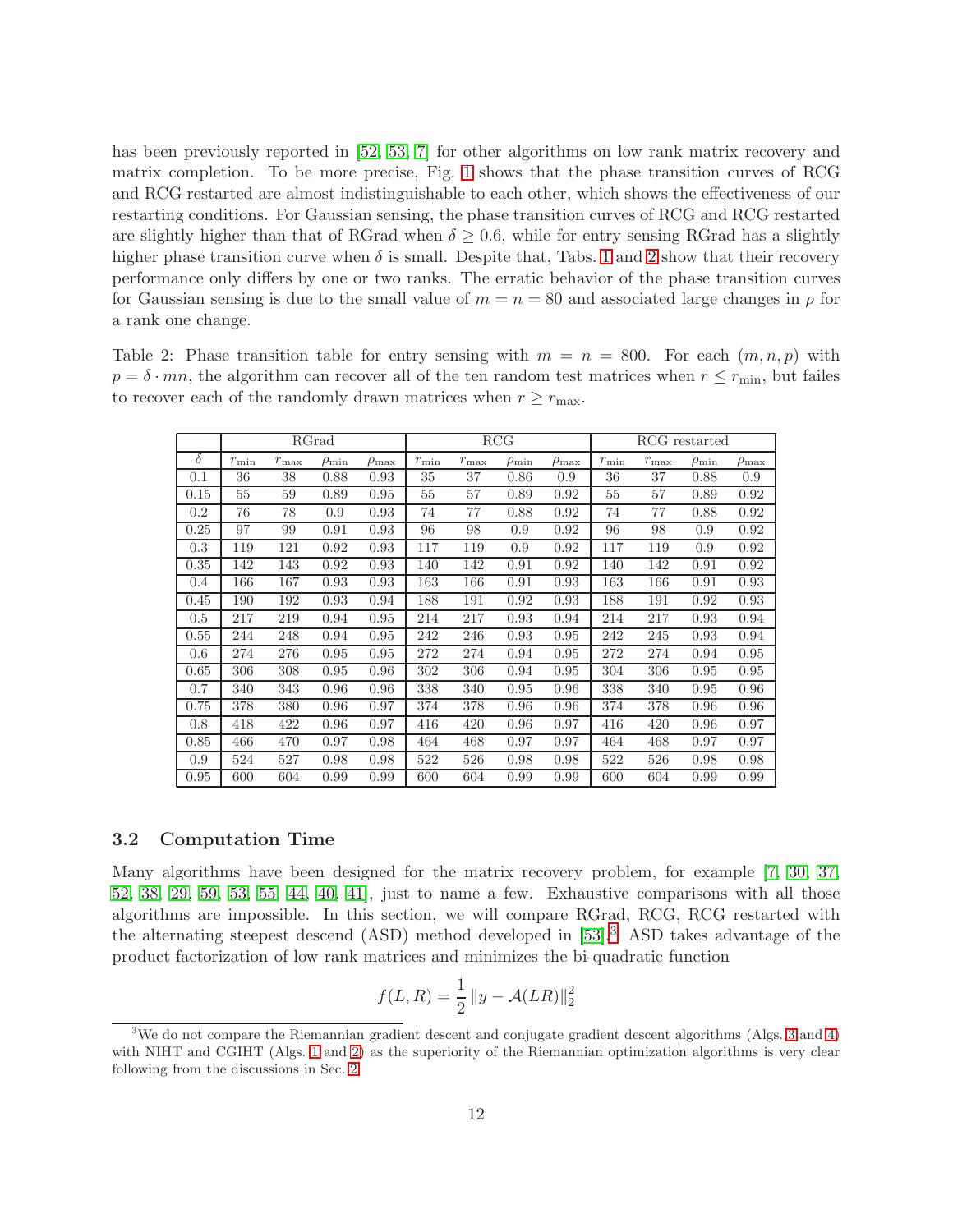has been previously reported in [\[52,](#page-25-1) [53,](#page-25-3) [7\]](#page-22-5) for other algorithms on low rank matrix recovery and matrix completion. To be more precise, Fig. [1](#page-12-1) shows that the phase transition curves of RCG and RCG restarted are almost indistinguishable to each other, which shows the effectiveness of our restarting conditions. For Gaussian sensing, the phase transition curves of RCG and RCG restarted are slightly higher than that of RGrad when  $\delta \geq 0.6$ , while for entry sensing RGrad has a slightly higher phase transition curve when  $\delta$  is small. Despite that, Tabs. [1](#page-10-1) and [2](#page-11-0) show that their recovery performance only differs by one or two ranks. The erratic behavior of the phase transition curves for Gaussian sensing is due to the small value of  $m = n = 80$  and associated large changes in  $\rho$  for a rank one change.

<span id="page-11-0"></span>Table 2: Phase transition table for entry sensing with  $m = n = 800$ . For each  $(m, n, p)$  with  $p = \delta \cdot mn$ , the algorithm can recover all of the ten random test matrices when  $r \leq r_{\min}$ , but failes to recover each of the randomly drawn matrices when  $r \geq r_{\text{max}}$ .

|          |            |               | RGrad            |                  |               |               | RCG              |                  | RCG restarted |               |                  |                     |
|----------|------------|---------------|------------------|------------------|---------------|---------------|------------------|------------------|---------------|---------------|------------------|---------------------|
| $\delta$ | $r_{\min}$ | $r_{\rm max}$ | $\rho_{\rm min}$ | $\rho_{\rm max}$ | $r_{\rm min}$ | $r_{\rm max}$ | $\rho_{\rm min}$ | $\rho_{\rm max}$ | $r_{\rm min}$ | $r_{\rm max}$ | $\rho_{\rm min}$ | $\rho_{\text{max}}$ |
| 0.1      | 36         | 38            | 0.88             | 0.93             | 35            | 37            | 0.86             | 0.9              | 36            | 37            | 0.88             | 0.9                 |
| 0.15     | 55         | 59            | 0.89             | 0.95             | 55            | 57            | 0.89             | 0.92             | 55            | 57            | 0.89             | 0.92                |
| 0.2      | 76         | 78            | 0.9              | 0.93             | 74            | 77            | 0.88             | 0.92             | 74            | 77            | 0.88             | 0.92                |
| 0.25     | 97         | 99            | 0.91             | 0.93             | 96            | 98            | 0.9              | 0.92             | 96            | 98            | 0.9              | 0.92                |
| 0.3      | 119        | 121           | 0.92             | 0.93             | 117           | 119           | 0.9              | 0.92             | 117           | 119           | 0.9              | 0.92                |
| 0.35     | 142        | 143           | 0.92             | 0.93             | 140           | 142           | 0.91             | 0.92             | 140           | 142           | 0.91             | 0.92                |
| 0.4      | 166        | 167           | 0.93             | 0.93             | 163           | 166           | 0.91             | 0.93             | 163           | 166           | 0.91             | 0.93                |
| 0.45     | 190        | 192           | 0.93             | 0.94             | 188           | 191           | 0.92             | 0.93             | 188           | 191           | 0.92             | 0.93                |
| 0.5      | 217        | 219           | 0.94             | 0.95             | 214           | 217           | 0.93             | 0.94             | 214           | 217           | 0.93             | 0.94                |
| 0.55     | 244        | 248           | 0.94             | 0.95             | 242           | 246           | 0.93             | 0.95             | 242           | 245           | 0.93             | 0.94                |
| 0.6      | 274        | 276           | 0.95             | 0.95             | 272           | 274           | 0.94             | 0.95             | 272           | 274           | 0.94             | 0.95                |
| 0.65     | 306        | 308           | 0.95             | 0.96             | 302           | 306           | 0.94             | 0.95             | 304           | 306           | 0.95             | 0.95                |
| 0.7      | 340        | 343           | 0.96             | 0.96             | 338           | 340           | 0.95             | 0.96             | 338           | 340           | 0.95             | 0.96                |
| 0.75     | 378        | 380           | 0.96             | 0.97             | 374           | 378           | 0.96             | 0.96             | 374           | 378           | 0.96             | 0.96                |
| 0.8      | 418        | 422           | 0.96             | 0.97             | 416           | 420           | 0.96             | 0.97             | 416           | 420           | 0.96             | 0.97                |
| 0.85     | 466        | 470           | 0.97             | 0.98             | 464           | 468           | 0.97             | 0.97             | 464           | 468           | 0.97             | 0.97                |
| 0.9      | 524        | 527           | 0.98             | 0.98             | 522           | 526           | 0.98             | 0.98             | 522           | 526           | 0.98             | 0.98                |
| 0.95     | 600        | 604           | 0.99             | 0.99             | 600           | 604           | 0.99             | 0.99             | 600           | 604           | 0.99             | 0.99                |

#### 3.2 Computation Time

Many algorithms have been designed for the matrix recovery problem, for example [\[7,](#page-22-5) [30,](#page-23-8) [37,](#page-24-5) [52,](#page-25-1) [38,](#page-24-15) [29,](#page-23-9) [59,](#page-25-2) [53,](#page-25-3) [55,](#page-25-4) [44,](#page-24-6) [40,](#page-24-7) [41\]](#page-24-8), just to name a few. Exhaustive comparisons with all those algorithms are impossible. In this section, we will compare RGrad, RCG, RCG restarted with the alternating steepest descend (ASD) method developed in [\[53\]](#page-25-3).[3](#page-11-1) ASD takes advantage of the product factorization of low rank matrices and minimizes the bi-quadratic function

$$
f(L, R) = \frac{1}{2} ||y - A(LR)||_2^2
$$

<span id="page-11-1"></span><sup>3</sup>We do not compare the Riemannian gradient descent and conjugate gradient descent algorithms (Algs. [3](#page-4-0) and [4\)](#page-4-1) with NIHT and CGIHT (Algs. [1](#page-2-1) and [2\)](#page-3-1) as the superiority of the Riemannian optimization algorithms is very clear following from the discussions in Sec. [2.](#page-2-0)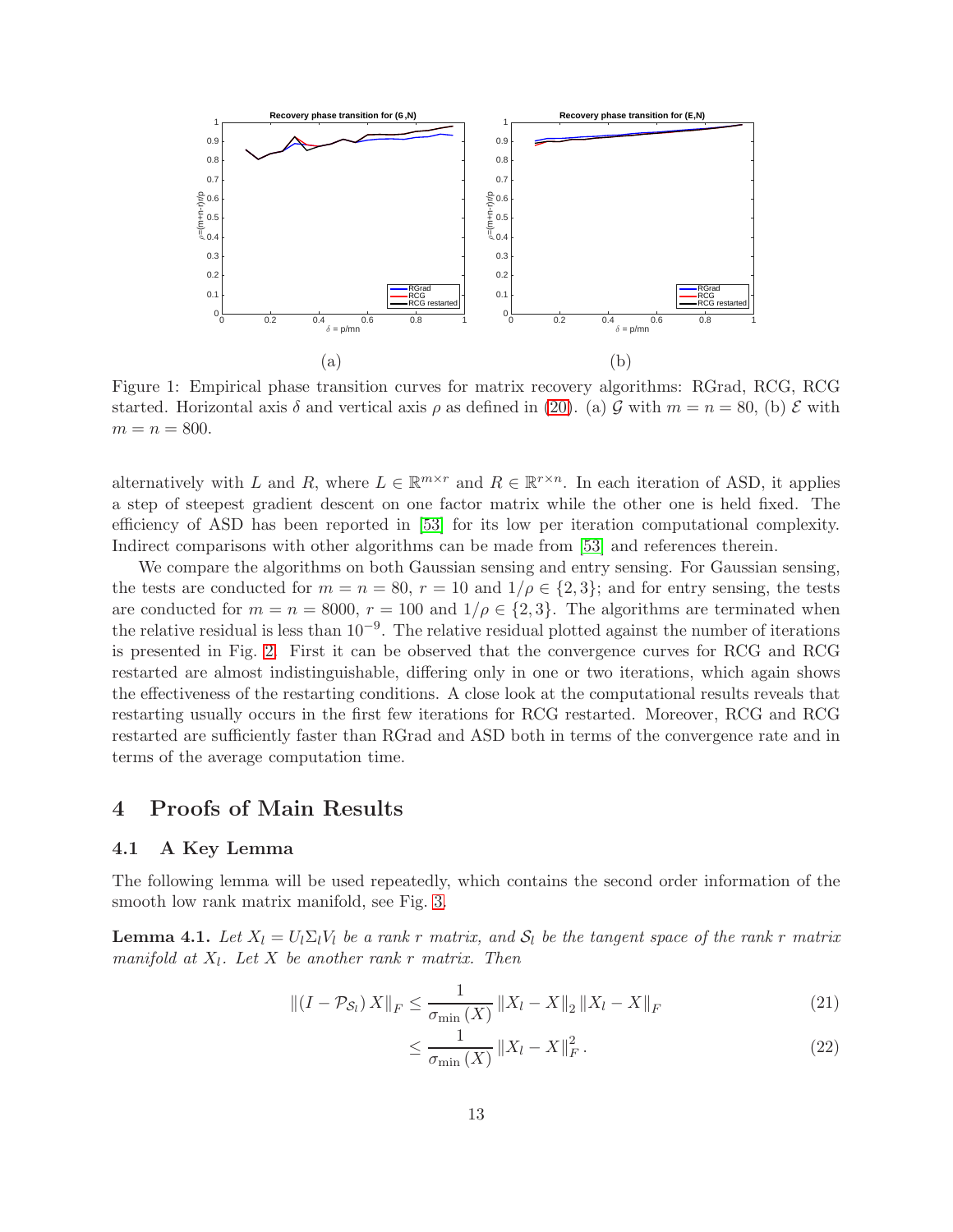<span id="page-12-1"></span>

Figure 1: Empirical phase transition curves for matrix recovery algorithms: RGrad, RCG, RCG started. Horizontal axis  $\delta$  and vertical axis  $\rho$  as defined in [\(20\)](#page-9-1). (a)  $\mathcal G$  with  $m = n = 80$ , (b)  $\mathcal E$  with  $m = n = 800.$ 

alternatively with L and R, where  $L \in \mathbb{R}^{m \times r}$  and  $R \in \mathbb{R}^{r \times n}$ . In each iteration of ASD, it applies a step of steepest gradient descent on one factor matrix while the other one is held fixed. The efficiency of ASD has been reported in [\[53\]](#page-25-3) for its low per iteration computational complexity. Indirect comparisons with other algorithms can be made from [\[53\]](#page-25-3) and references therein.

We compare the algorithms on both Gaussian sensing and entry sensing. For Gaussian sensing, the tests are conducted for  $m = n = 80$ ,  $r = 10$  and  $1/\rho \in \{2,3\}$ ; and for entry sensing, the tests are conducted for  $m = n = 8000$ ,  $r = 100$  and  $1/\rho \in \{2, 3\}$ . The algorithms are terminated when the relative residual is less than  $10^{-9}$ . The relative residual plotted against the number of iterations is presented in Fig. [2.](#page-13-0) First it can be observed that the convergence curves for RCG and RCG restarted are almost indistinguishable, differing only in one or two iterations, which again shows the effectiveness of the restarting conditions. A close look at the computational results reveals that restarting usually occurs in the first few iterations for RCG restarted. Moreover, RCG and RCG restarted are sufficiently faster than RGrad and ASD both in terms of the convergence rate and in terms of the average computation time.

### <span id="page-12-0"></span>4 Proofs of Main Results

#### 4.1 A Key Lemma

The following lemma will be used repeatedly, which contains the second order information of the smooth low rank matrix manifold, see Fig. [3.](#page-13-1)

<span id="page-12-2"></span>**Lemma 4.1.** Let  $X_l = U_l \Sigma_l V_l$  be a rank r matrix, and  $S_l$  be the tangent space of the rank r matrix manifold at  $X_l$ . Let X be another rank r matrix. Then

$$
\left\| (I - \mathcal{P}_{\mathcal{S}_l}) X \right\|_F \le \frac{1}{\sigma_{\min}(X)} \left\| X_l - X \right\|_2 \left\| X_l - X \right\|_F \tag{21}
$$

<span id="page-12-4"></span><span id="page-12-3"></span>
$$
\leq \frac{1}{\sigma_{\min}(X)} \left\| X_l - X \right\|_F^2. \tag{22}
$$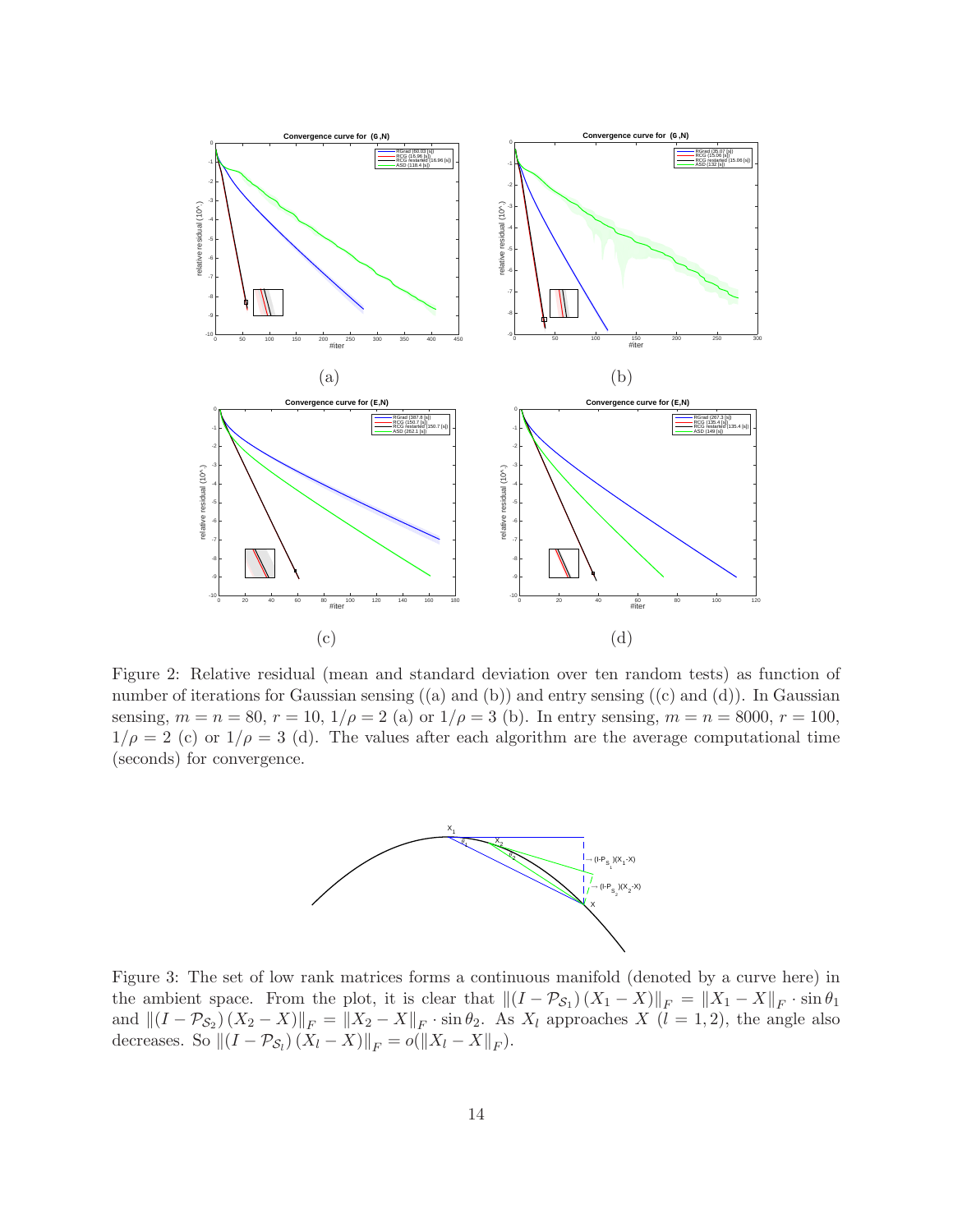<span id="page-13-0"></span>

<span id="page-13-1"></span>Figure 2: Relative residual (mean and standard deviation over ten random tests) as function of number of iterations for Gaussian sensing  $((a)$  and  $(b))$  and entry sensing  $((c)$  and  $(d))$ . In Gaussian sensing,  $m = n = 80$ ,  $r = 10$ ,  $1/\rho = 2$  (a) or  $1/\rho = 3$  (b). In entry sensing,  $m = n = 8000$ ,  $r = 100$ ,  $1/\rho = 2$  (c) or  $1/\rho = 3$  (d). The values after each algorithm are the average computational time (seconds) for convergence.



Figure 3: The set of low rank matrices forms a continuous manifold (denoted by a curve here) in the ambient space. From the plot, it is clear that  $\|(I - \mathcal{P}_{\mathcal{S}_1})(X_1 - X)\|_F = \|X_1 - X\|_F \cdot \sin \theta_1$ and  $||(I - \mathcal{P}_{\mathcal{S}_2})(X_2 - X)||_F = ||X_2 - X||_F \cdot \sin \theta_2$ . As  $X_l$  approaches  $X$   $(l = 1, 2)$ , the angle also decreases. So  $\left\| \left(I - \mathcal{P}_{\mathcal{S}_l}\right) \left(X_l - X\right) \right\|_F = o(\left\|X_l - X\right\|_F).$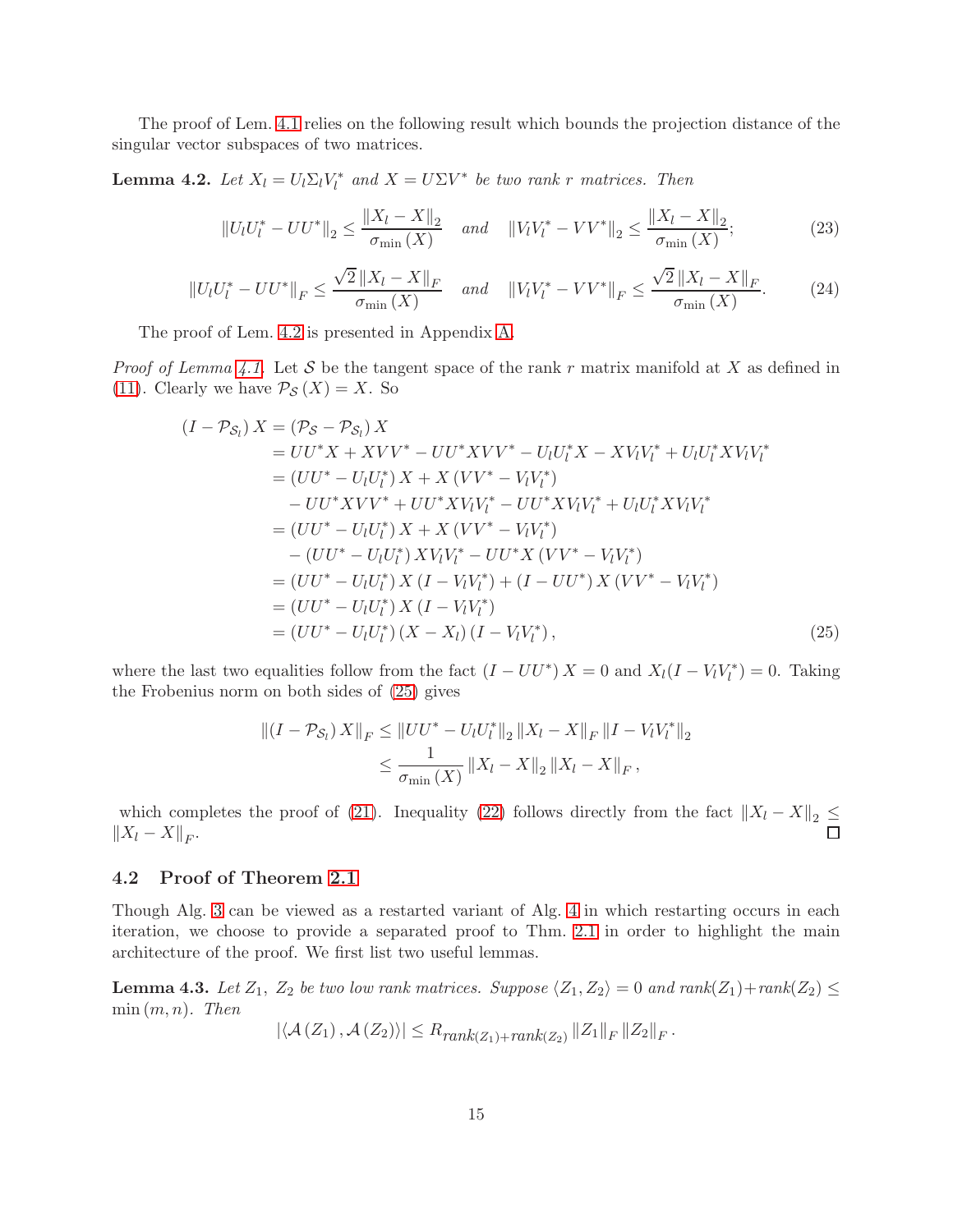The proof of Lem. [4.1](#page-12-2) relies on the following result which bounds the projection distance of the singular vector subspaces of two matrices.

<span id="page-14-0"></span>**Lemma 4.2.** Let  $X_l = U_l \Sigma_l V_l^*$  and  $X = U \Sigma V^*$  be two rank r matrices. Then

<span id="page-14-2"></span>
$$
||U_l U_l^* - U U^*||_2 \le \frac{||X_l - X||_2}{\sigma_{\min}(X)} \quad \text{and} \quad ||V_l V_l^* - V V^*||_2 \le \frac{||X_l - X||_2}{\sigma_{\min}(X)};
$$
 (23)

<span id="page-14-3"></span>
$$
||U_{l}U_{l}^{*} - UU^{*}||_{F} \le \frac{\sqrt{2}||X_{l} - X||_{F}}{\sigma_{\min}(X)} \quad \text{and} \quad ||V_{l}V_{l}^{*} - VV^{*}||_{F} \le \frac{\sqrt{2}||X_{l} - X||_{F}}{\sigma_{\min}(X)}.
$$
 (24)

The proof of Lem. [4.2](#page-14-0) is presented in Appendix [A.](#page-25-13)

*Proof of Lemma [4.1.](#page-12-2)* Let S be the tangent space of the rank r matrix manifold at X as defined in [\(11\)](#page-5-0). Clearly we have  $P_{\mathcal{S}}(X) = X$ . So

$$
(I - \mathcal{P}_{S_l}) X = (\mathcal{P}_{S} - \mathcal{P}_{S_l}) X
$$
  
=  $UU^* X + XVV^* - UU^* XVV^* - U_lU_l^* X - XV_lV_l^* + U_lU_l^* XV_lV_l^*$   
=  $(UU^* - U_lU_l^*) X + X (VV^* - V_lV_l^*)$   
 $- UV^* XVV^* + UU^* XV_lV_l^* - UU^* XV_lV_l^* + U_lU_l^* XV_lV_l^*$   
=  $(UU^* - U_lU_l^*) X + X (VV^* - V_lV_l^*)$   
 $- (UU^* - U_lU_l^*) XV_lV_l^* - UU^* X (VV^* - V_lV_l^*)$   
=  $(UU^* - U_lU_l^*) X (I - V_lV_l^*) + (I - UU^*) X (VV^* - V_lV_l^*)$   
=  $(UU^* - U_lU_l^*) X (I - V_lV_l^*)$   
=  $(UU^* - U_lU_l^*) (X - X_l) (I - V_lV_l^*),$  (25)

where the last two equalities follow from the fact  $(I - U U^*) X = 0$  and  $X_l(I - V_l V_l^*) = 0$ . Taking the Frobenius norm on both sides of [\(25\)](#page-14-1) gives

<span id="page-14-1"></span>
$$
||(I - \mathcal{P}_{\mathcal{S}_l}) X||_F \le ||UU^* - U_l U_l^*||_2 ||X_l - X||_F ||I - V_l V_l^*||_2
$$
  

$$
\le \frac{1}{\sigma_{\min}(X)} ||X_l - X||_2 ||X_l - X||_F,
$$

which completes the proof of [\(21\)](#page-12-3). Inequality [\(22\)](#page-12-4) follows directly from the fact  $||X_l - X||_2 \le$  $||X_l - X||_F.$ 

#### 4.2 Proof of Theorem [2.1](#page-6-1)

Though Alg. [3](#page-4-0) can be viewed as a restarted variant of Alg. [4](#page-4-1) in which restarting occurs in each iteration, we choose to provide a separated proof to Thm. [2.1](#page-6-1) in order to highlight the main architecture of the proof. We first list two useful lemmas.

<span id="page-14-4"></span>**Lemma 4.3.** Let  $Z_1$ ,  $Z_2$  be two low rank matrices. Suppose  $\langle Z_1, Z_2 \rangle = 0$  and  $rank(Z_1)+rank(Z_2) \le$  $min(m, n)$ . Then

 $|\langle A(Z_1), A(Z_2)\rangle| \leq R_{rank(Z_1)+rank(Z_2)} ||Z_1||_F ||Z_2||_F.$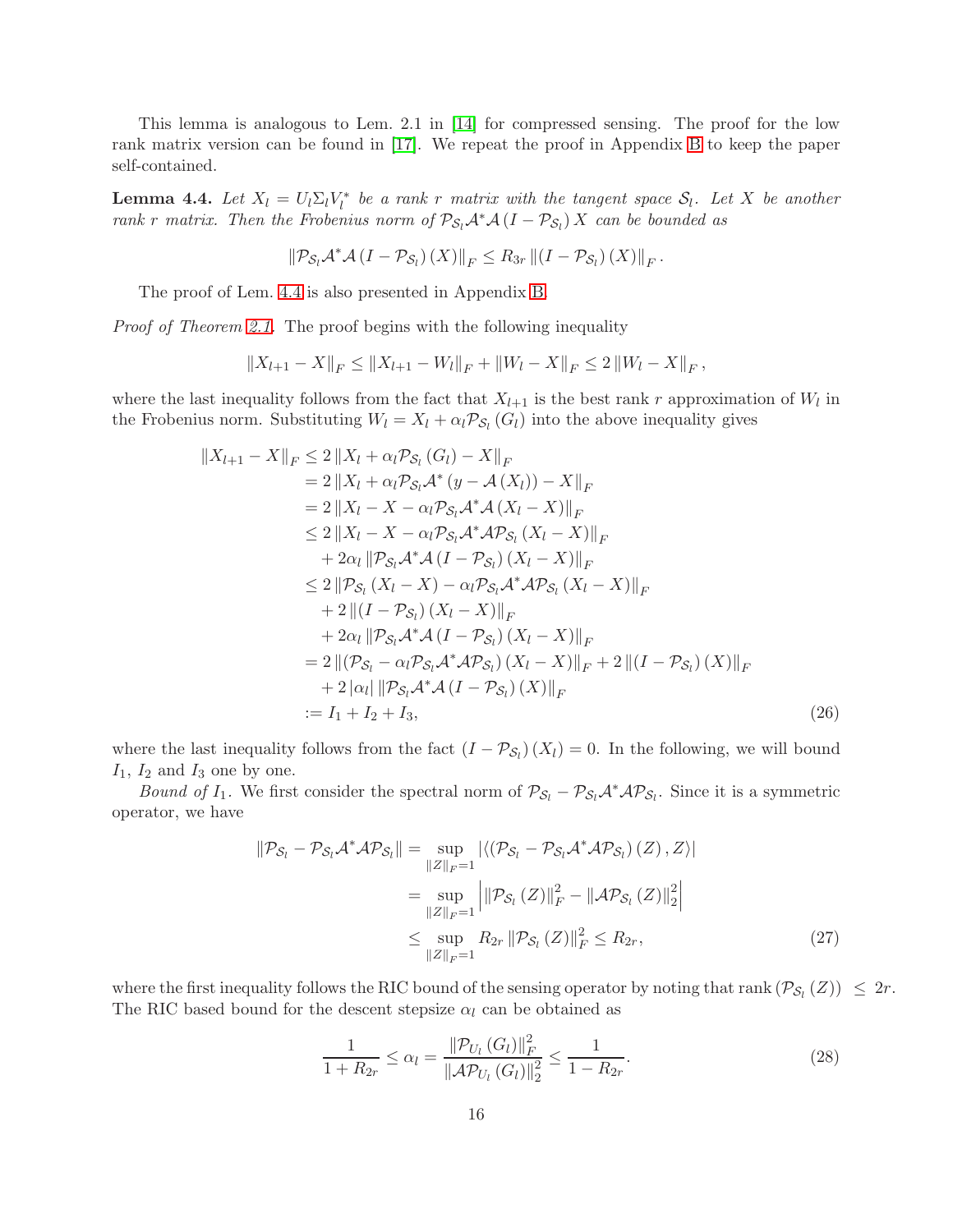This lemma is analogous to Lem. 2.1 in [\[14\]](#page-22-12) for compressed sensing. The proof for the low rank matrix version can be found in [\[17\]](#page-23-4). We repeat the proof in Appendix [B](#page-26-0) to keep the paper self-contained.

<span id="page-15-0"></span>**Lemma 4.4.** Let  $X_l = U_l \Sigma_l V_l^*$  be a rank r matrix with the tangent space  $S_l$ . Let X be another rank r matrix. Then the Frobenius norm of  $\mathcal{P}_{S_l}\mathcal{A}^*\mathcal{A}(I - \mathcal{P}_{S_l}) X$  can be bounded as

$$
\left\|\mathcal{P}_{\mathcal{S}_l}\mathcal{A}^*\mathcal{A}\left(I-\mathcal{P}_{\mathcal{S}_l}\right)(X)\right\|_F\leq R_{3r}\left\|\left(I-\mathcal{P}_{\mathcal{S}_l}\right)(X)\right\|_F.
$$

The proof of Lem. [4.4](#page-15-0) is also presented in Appendix [B.](#page-26-0)

Proof of Theorem [2.1.](#page-6-1) The proof begins with the following inequality

$$
||X_{l+1} - X||_F \le ||X_{l+1} - W_l||_F + ||W_l - X||_F \le 2 ||W_l - X||_F,
$$

where the last inequality follows from the fact that  $X_{l+1}$  is the best rank r approximation of  $W_l$  in the Frobenius norm. Substituting  $W_l = X_l + \alpha_l \mathcal{P}_{S_l}(G_l)$  into the above inequality gives

$$
||X_{l+1} - X||_F \le 2 ||X_l + \alpha_l \mathcal{P}_{\mathcal{S}_l} (G_l) - X||_F
$$
  
\n
$$
= 2 ||X_l + \alpha_l \mathcal{P}_{\mathcal{S}_l} \mathcal{A}^* (y - \mathcal{A}(X_l)) - X||_F
$$
  
\n
$$
= 2 ||X_l - X - \alpha_l \mathcal{P}_{\mathcal{S}_l} \mathcal{A}^* \mathcal{A}(X_l - X)||_F
$$
  
\n
$$
\le 2 ||X_l - X - \alpha_l \mathcal{P}_{\mathcal{S}_l} \mathcal{A}^* \mathcal{A} \mathcal{P}_{\mathcal{S}_l} (X_l - X)||_F
$$
  
\n
$$
+ 2\alpha_l ||\mathcal{P}_{\mathcal{S}_l} \mathcal{A}^* \mathcal{A}(I - \mathcal{P}_{\mathcal{S}_l}) (X_l - X)||_F
$$
  
\n
$$
\le 2 ||\mathcal{P}_{\mathcal{S}_l} (X_l - X) - \alpha_l \mathcal{P}_{\mathcal{S}_l} \mathcal{A}^* \mathcal{A} \mathcal{P}_{\mathcal{S}_l} (X_l - X)||_F
$$
  
\n
$$
+ 2 ||(I - \mathcal{P}_{\mathcal{S}_l}) (X_l - X)||_F
$$
  
\n
$$
+ 2\alpha_l ||\mathcal{P}_{\mathcal{S}_l} \mathcal{A}^* \mathcal{A}(I - \mathcal{P}_{\mathcal{S}_l}) (X_l - X)||_F
$$
  
\n
$$
= 2 ||(\mathcal{P}_{\mathcal{S}_l} - \alpha_l \mathcal{P}_{\mathcal{S}_l} \mathcal{A}^* \mathcal{A} \mathcal{P}_{\mathcal{S}_l}) (X_l - X)||_F
$$
  
\n
$$
+ 2 |\alpha_l| ||\mathcal{P}_{\mathcal{S}_l} \mathcal{A}^* \mathcal{A}(I - \mathcal{P}_{\mathcal{S}_l}) (X)||_F
$$
  
\n
$$
:= I_1 + I_2 + I_3,
$$
 (26)

where the last inequality follows from the fact  $(I - \mathcal{P}_{S_l})(X_l) = 0$ . In the following, we will bound  $I_1$ ,  $I_2$  and  $I_3$  one by one.

Bound of I<sub>1</sub>. We first consider the spectral norm of  $P_{S_l} - P_{S_l} A^* A P_{S_l}$ . Since it is a symmetric operator, we have

<span id="page-15-2"></span>
$$
\|\mathcal{P}_{S_l} - \mathcal{P}_{S_l}\mathcal{A}^* \mathcal{A} \mathcal{P}_{S_l}\| = \sup_{\|Z\|_F = 1} |\langle (\mathcal{P}_{S_l} - \mathcal{P}_{S_l}\mathcal{A}^* \mathcal{A} \mathcal{P}_{S_l}) (Z), Z \rangle|
$$
  
\n
$$
= \sup_{\|Z\|_F = 1} \left| \|\mathcal{P}_{S_l} (Z)\|_F^2 - \|\mathcal{A} \mathcal{P}_{S_l} (Z)\|_2^2 \right|
$$
  
\n
$$
\leq \sup_{\|Z\|_F = 1} R_{2r} \|\mathcal{P}_{S_l} (Z)\|_F^2 \leq R_{2r}, \tag{27}
$$

where the first inequality follows the RIC bound of the sensing operator by noting that rank  $(\mathcal{P}_{\mathcal{S}_l} (Z)) \leq 2r$ . The RIC based bound for the descent stepsize  $\alpha_l$  can be obtained as

<span id="page-15-1"></span>
$$
\frac{1}{1 + R_{2r}} \le \alpha_l = \frac{\|\mathcal{P}_{U_l}(G_l)\|_F^2}{\|\mathcal{A}\mathcal{P}_{U_l}(G_l)\|_2^2} \le \frac{1}{1 - R_{2r}}.\tag{28}
$$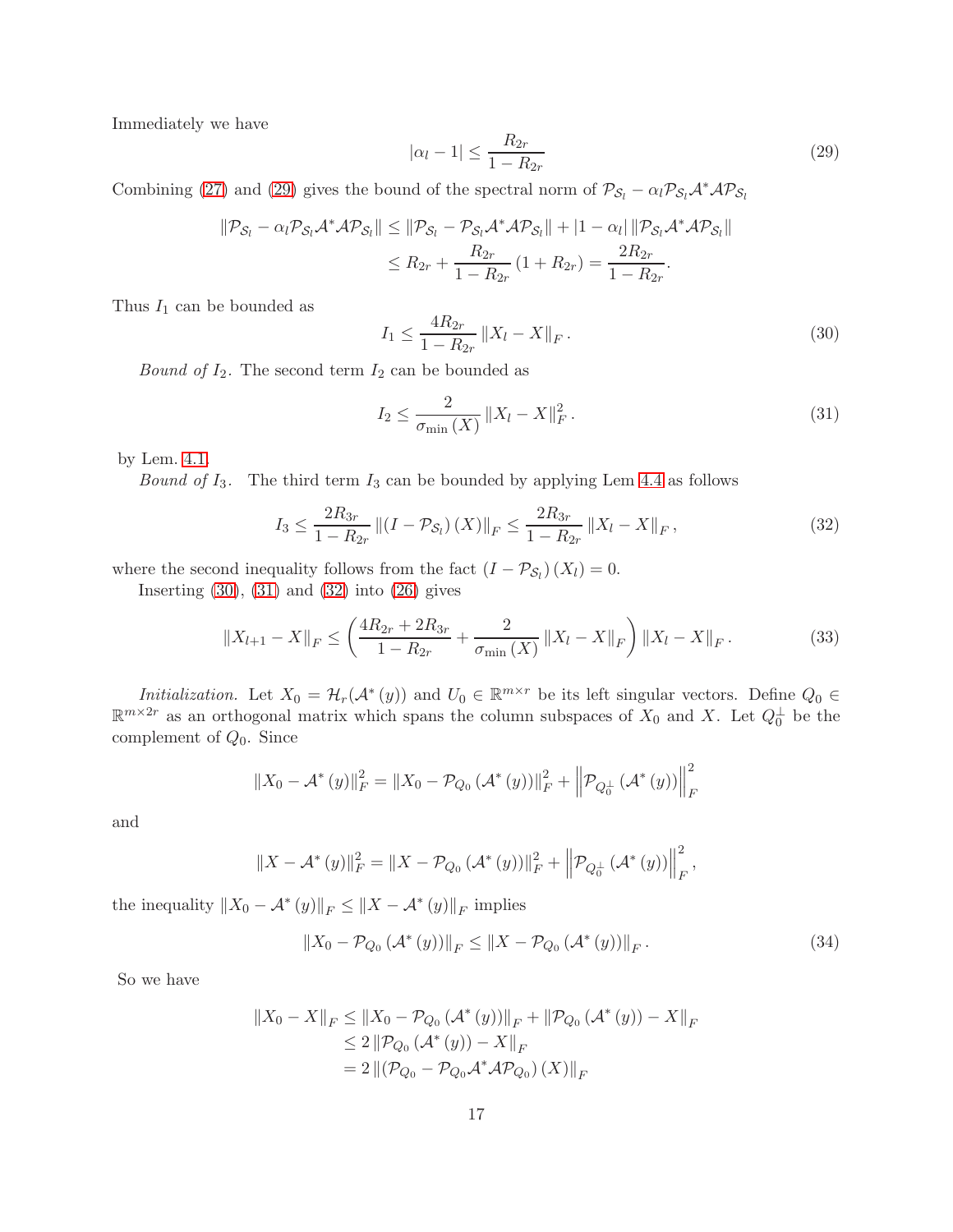Immediately we have

<span id="page-16-1"></span>
$$
|\alpha_l - 1| \le \frac{R_{2r}}{1 - R_{2r}}\tag{29}
$$

Combining [\(27\)](#page-15-1) and [\(29\)](#page-16-1) gives the bound of the spectral norm of  $P_{S_l} - \alpha_l P_{S_l} A^* A P_{S_l}$ 

$$
\begin{aligned} \|\mathcal{P}_{\mathcal{S}_l} - \alpha_l \mathcal{P}_{\mathcal{S}_l} \mathcal{A}^* \mathcal{A} \mathcal{P}_{\mathcal{S}_l} \| &\leq \|\mathcal{P}_{\mathcal{S}_l} - \mathcal{P}_{\mathcal{S}_l} \mathcal{A}^* \mathcal{A} \mathcal{P}_{\mathcal{S}_l} \| + |1 - \alpha_l| \|\mathcal{P}_{\mathcal{S}_l} \mathcal{A}^* \mathcal{A} \mathcal{P}_{\mathcal{S}_l} \| \\ &\leq R_{2r} + \frac{R_{2r}}{1 - R_{2r}} \left( 1 + R_{2r} \right) = \frac{2R_{2r}}{1 - R_{2r}}. \end{aligned}
$$

Thus  $I_1$  can be bounded as

<span id="page-16-2"></span>
$$
I_1 \le \frac{4R_{2r}}{1 - R_{2r}} \|X_l - X\|_F. \tag{30}
$$

*Bound of*  $I_2$ . The second term  $I_2$  can be bounded as

<span id="page-16-4"></span><span id="page-16-3"></span>
$$
I_2 \le \frac{2}{\sigma_{\min}(X)} \|X_l - X\|_F^2.
$$
\n(31)

by Lem. [4.1.](#page-12-2)

*Bound of I*<sub>3</sub>. The third term  $I_3$  can be bounded by applying Lem [4.4](#page-15-0) as follows

$$
I_3 \le \frac{2R_{3r}}{1 - R_{2r}} \left\| (I - \mathcal{P}_{\mathcal{S}_l}) \left( X \right) \right\|_F \le \frac{2R_{3r}}{1 - R_{2r}} \left\| X_l - X \right\|_F, \tag{32}
$$

where the second inequality follows from the fact  $(I - \mathcal{P}_{S_l})(X_l) = 0$ .

Inserting  $(30)$ ,  $(31)$  and  $(32)$  into  $(26)$  gives

<span id="page-16-0"></span>
$$
||X_{l+1} - X||_F \le \left(\frac{4R_{2r} + 2R_{3r}}{1 - R_{2r}} + \frac{2}{\sigma_{\min}(X)} ||X_l - X||_F\right) ||X_l - X||_F.
$$
 (33)

Initialization. Let  $X_0 = \mathcal{H}_r(\mathcal{A}^*(y))$  and  $U_0 \in \mathbb{R}^{m \times r}$  be its left singular vectors. Define  $Q_0 \in \mathbb{R}^{n \times r}$  $\mathbb{R}^{m\times 2r}$  as an orthogonal matrix which spans the column subspaces of  $X_0$  and X. Let  $Q_0^{\perp}$  be the complement of  $Q_0$ . Since

$$
||X_0 - A^*(y)||_F^2 = ||X_0 - P_{Q_0}(A^*(y))||_F^2 + ||P_{Q_0^{\perp}}(A^*(y))||_F^2
$$

and

$$
||X - A^{*}(y)||_{F}^{2} = ||X - P_{Q_{0}}(\mathcal{A}^{*}(y))||_{F}^{2} + \left\| P_{Q_{0}^{\perp}}(\mathcal{A}^{*}(y)) \right\|_{F}^{2},
$$

the inequality  $||X_0 - A^*(y)||_F \le ||X - A^*(y)||_F$  implies

$$
||X_0 - P_{Q_0}(\mathcal{A}^*(y))||_F \le ||X - P_{Q_0}(\mathcal{A}^*(y))||_F.
$$
 (34)

So we have

$$
||X_0 - X||_F \le ||X_0 - P_{Q_0}(\mathcal{A}^*(y))||_F + ||P_{Q_0}(\mathcal{A}^*(y)) - X||_F
$$
  
\n
$$
\le 2 ||P_{Q_0}(\mathcal{A}^*(y)) - X||_F
$$
  
\n
$$
= 2 ||(P_{Q_0} - P_{Q_0}\mathcal{A}^*\mathcal{A}P_{Q_0})(X)||_F
$$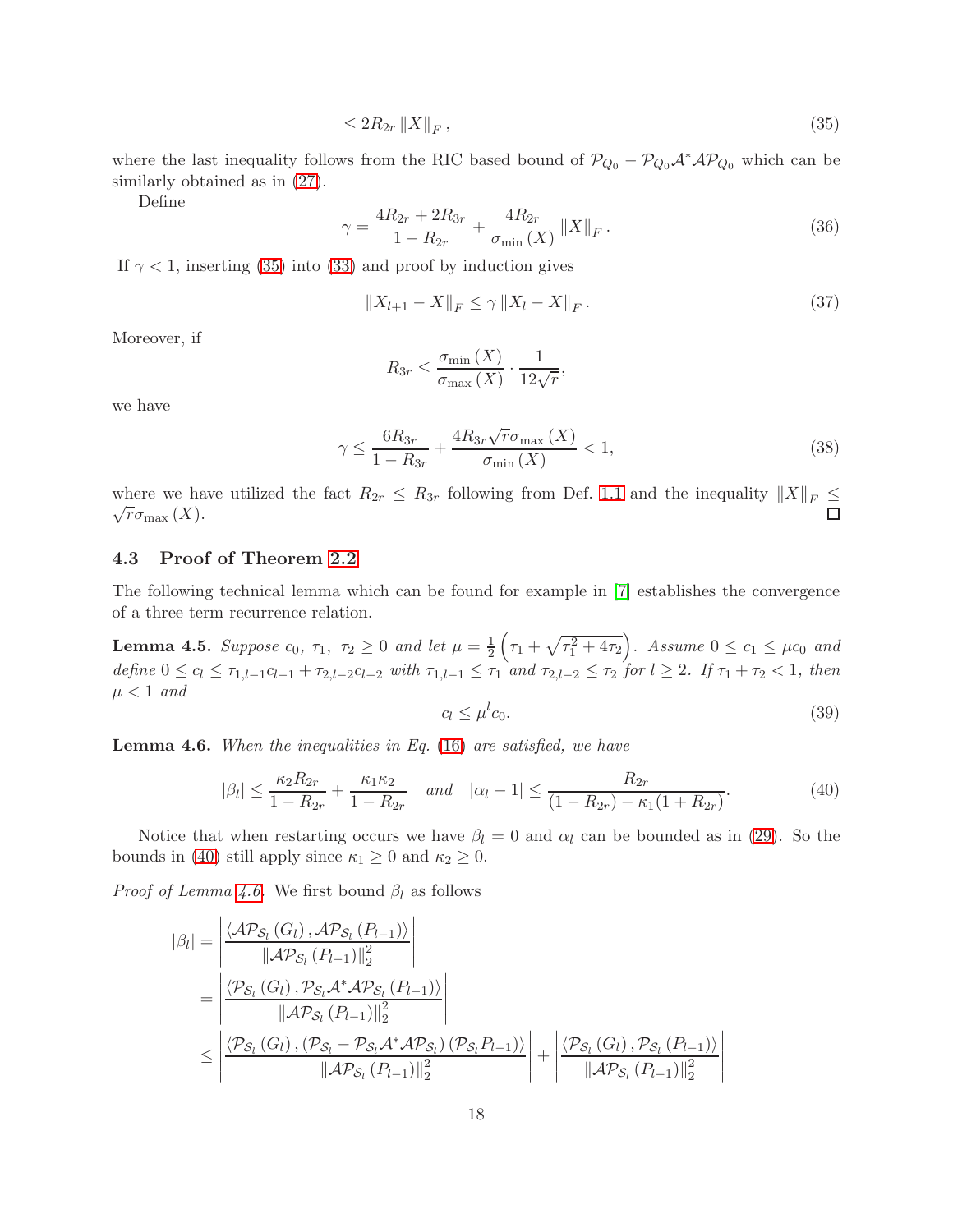<span id="page-17-0"></span>
$$
\leq 2R_{2r} \left\| X \right\|_{F},\tag{35}
$$

where the last inequality follows from the RIC based bound of  $P_{Q_0} - P_{Q_0} A^* A P_{Q_0}$  which can be similarly obtained as in  $(27)$ .

Define

$$
\gamma = \frac{4R_{2r} + 2R_{3r}}{1 - R_{2r}} + \frac{4R_{2r}}{\sigma_{\min}(X)} \|X\|_F.
$$
\n(36)

If  $\gamma$  < 1, inserting [\(35\)](#page-17-0) into [\(33\)](#page-16-0) and proof by induction gives

$$
||X_{l+1} - X||_F \le \gamma ||X_l - X||_F. \tag{37}
$$

Moreover, if

<span id="page-17-4"></span>
$$
R_{3r} \le \frac{\sigma_{\min}(X)}{\sigma_{\max}(X)} \cdot \frac{1}{12\sqrt{r}},
$$

we have

$$
\gamma \le \frac{6R_{3r}}{1 - R_{3r}} + \frac{4R_{3r}\sqrt{r}\sigma_{\max}\left(X\right)}{\sigma_{\min}\left(X\right)} < 1,\tag{38}
$$

where we have utilized the fact  $R_{2r} \leq R_{3r}$  following from Def. [1.1](#page-1-2) and the inequality  $||X||_F \leq$  $\sqrt{r} \sigma_{\max}(X)$ .

#### 4.3 Proof of Theorem [2.2](#page-7-2)

The following technical lemma which can be found for example in [\[7\]](#page-22-5) establishes the convergence of a three term recurrence relation.

<span id="page-17-3"></span>**Lemma 4.5.** Suppose  $c_0$ ,  $\tau_1$ ,  $\tau_2 \ge 0$  and let  $\mu = \frac{1}{2} \left( \tau_1 + \sqrt{\tau_1^2 + 4\tau_2} \right)$ . Assume  $0 \le c_1 \le \mu c_0$  and define  $0 \le c_l \le \tau_{1,l-1}c_{l-1} + \tau_{2,l-2}c_{l-2}$  with  $\tau_{1,l-1} \le \tau_1$  and  $\tau_{2,l-2} \le \tau_2$  for  $l \ge 2$ . If  $\tau_1 + \tau_2 < 1$ , then  $\mu < 1$  and

$$
c_l \le \mu^l c_0. \tag{39}
$$

<span id="page-17-2"></span>**Lemma 4.6.** When the inequalities in Eq.  $(16)$  are satisfied, we have

<span id="page-17-1"></span>
$$
|\beta_l| \le \frac{\kappa_2 R_{2r}}{1 - R_{2r}} + \frac{\kappa_1 \kappa_2}{1 - R_{2r}} \quad \text{and} \quad |\alpha_l - 1| \le \frac{R_{2r}}{(1 - R_{2r}) - \kappa_1 (1 + R_{2r})}.\tag{40}
$$

Notice that when restarting occurs we have  $\beta_l = 0$  and  $\alpha_l$  can be bounded as in [\(29\)](#page-16-1). So the bounds in [\(40\)](#page-17-1) still apply since  $\kappa_1 \geq 0$  and  $\kappa_2 \geq 0$ .

*Proof of Lemma [4.6.](#page-17-2)* We first bound  $\beta_l$  as follows

$$
|\beta_{l}| = \left| \frac{\langle \mathcal{AP}_{\mathcal{S}_{l}}(G_{l}), \mathcal{AP}_{\mathcal{S}_{l}}(P_{l-1}) \rangle}{\|\mathcal{AP}_{\mathcal{S}_{l}}(P_{l-1})\|_{2}^{2}} \right|
$$
  
= 
$$
\left| \frac{\langle \mathcal{P}_{\mathcal{S}_{l}}(G_{l}), \mathcal{P}_{\mathcal{S}_{l}}\mathcal{A}^{*}\mathcal{AP}_{\mathcal{S}_{l}}(P_{l-1}) \rangle}{\|\mathcal{AP}_{\mathcal{S}_{l}}(P_{l-1})\|_{2}^{2}} \right|
$$
  

$$
\leq \left| \frac{\langle \mathcal{P}_{\mathcal{S}_{l}}(G_{l}), (\mathcal{P}_{\mathcal{S}_{l}} - \mathcal{P}_{\mathcal{S}_{l}}\mathcal{A}^{*}\mathcal{AP}_{\mathcal{S}_{l}}) (\mathcal{P}_{\mathcal{S}_{l}}P_{l-1}) \rangle}{\|\mathcal{AP}_{\mathcal{S}_{l}}(P_{l-1})\|_{2}^{2}} \right| + \left| \frac{\langle \mathcal{P}_{\mathcal{S}_{l}}(G_{l}), \mathcal{P}_{\mathcal{S}_{l}}(P_{l-1}) \rangle}{\|\mathcal{AP}_{\mathcal{S}_{l}}(P_{l-1})\|_{2}^{2}} \right|
$$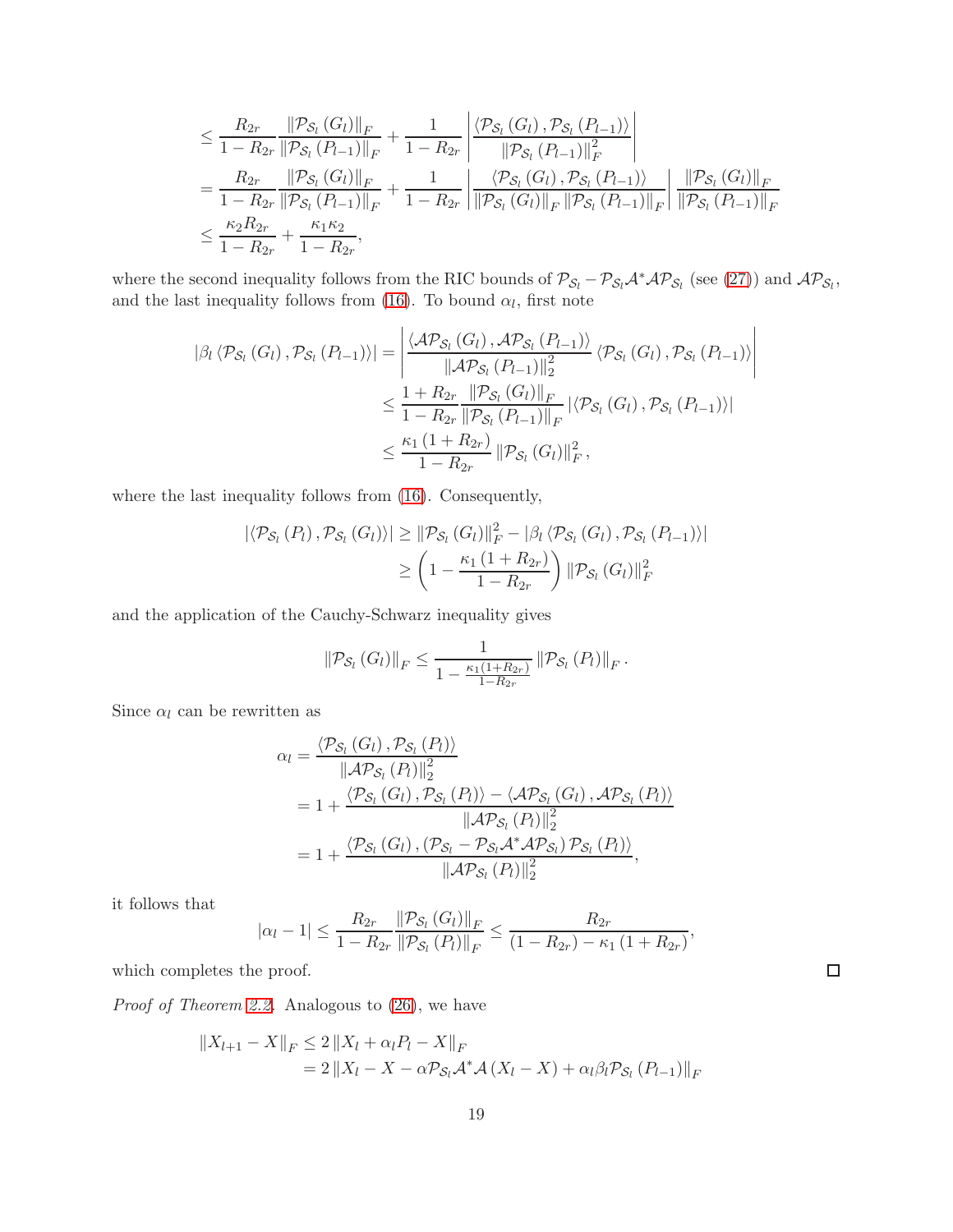$$
\leq \frac{R_{2r}}{1 - R_{2r}} \frac{\|\mathcal{P}_{\mathcal{S}_l}(G_l)\|_F}{\|\mathcal{P}_{\mathcal{S}_l}(P_{l-1})\|_F} + \frac{1}{1 - R_{2r}} \left| \frac{\langle \mathcal{P}_{\mathcal{S}_l}(G_l), \mathcal{P}_{\mathcal{S}_l}(P_{l-1}) \rangle}{\|\mathcal{P}_{\mathcal{S}_l}(P_{l-1})\|_F^2} \right|
$$
\n
$$
= \frac{R_{2r}}{1 - R_{2r}} \frac{\|\mathcal{P}_{\mathcal{S}_l}(G_l)\|_F}{\|\mathcal{P}_{\mathcal{S}_l}(P_{l-1})\|_F} + \frac{1}{1 - R_{2r}} \left| \frac{\langle \mathcal{P}_{\mathcal{S}_l}(G_l), \mathcal{P}_{\mathcal{S}_l}(P_{l-1}) \rangle}{\|\mathcal{P}_{\mathcal{S}_l}(G_l)\|_F \|\mathcal{P}_{\mathcal{S}_l}(P_{l-1})\|_F} \right| \frac{\|\mathcal{P}_{\mathcal{S}_l}(G_l)\|_F}{\|\mathcal{P}_{\mathcal{S}_l}(P_{l-1})\|_F}
$$
\n
$$
\leq \frac{\kappa_2 R_{2r}}{1 - R_{2r}} + \frac{\kappa_1 \kappa_2}{1 - R_{2r}},
$$

where the second inequality follows from the RIC bounds of  $P_{S_l} - P_{S_l} A^* A P_{S_l}$  (see [\(27\)](#page-15-1)) and  $A P_{S_l}$ , and the last inequality follows from [\(16\)](#page-7-0). To bound  $\alpha_l$ , first note

$$
\begin{split} |\beta_{l} \langle \mathcal{P}_{\mathcal{S}_{l}}(G_{l}), \mathcal{P}_{\mathcal{S}_{l}}(P_{l-1}) \rangle| &= \left| \frac{\langle \mathcal{A} \mathcal{P}_{\mathcal{S}_{l}}(G_{l}), \mathcal{A} \mathcal{P}_{\mathcal{S}_{l}}(P_{l-1}) \rangle}{\|\mathcal{A} \mathcal{P}_{\mathcal{S}_{l}}(P_{l-1})\|_{2}^{2}} \langle \mathcal{P}_{\mathcal{S}_{l}}(G_{l}), \mathcal{P}_{\mathcal{S}_{l}}(P_{l-1}) \rangle \right| \\ &\leq \frac{1 + R_{2r}}{1 - R_{2r}} \frac{\|\mathcal{P}_{\mathcal{S}_{l}}(G_{l})\|_{F}}{\|\mathcal{P}_{\mathcal{S}_{l}}(P_{l-1})\|_{F}} |\langle \mathcal{P}_{\mathcal{S}_{l}}(G_{l}), \mathcal{P}_{\mathcal{S}_{l}}(P_{l-1}) \rangle| \\ &\leq \frac{\kappa_{1} (1 + R_{2r})}{1 - R_{2r}} \|\mathcal{P}_{\mathcal{S}_{l}}(G_{l})\|_{F}^{2}, \end{split}
$$

where the last inequality follows from [\(16\)](#page-7-0). Consequently,

$$
\left| \langle \mathcal{P}_{\mathcal{S}_l} (P_l) \, , \mathcal{P}_{\mathcal{S}_l} (G_l) \rangle \right| \geq \left\| \mathcal{P}_{\mathcal{S}_l} (G_l) \right\|_F^2 - \left| \beta_l \, \langle \mathcal{P}_{\mathcal{S}_l} (G_l) \, , \mathcal{P}_{\mathcal{S}_l} (P_{l-1}) \rangle \right|
$$
  

$$
\geq \left( 1 - \frac{\kappa_1 \left( 1 + R_{2r} \right)}{1 - R_{2r}} \right) \left\| \mathcal{P}_{\mathcal{S}_l} (G_l) \right\|_F^2
$$

and the application of the Cauchy-Schwarz inequality gives

$$
\|\mathcal{P}_{\mathcal{S}_l}\left(G_l\right)\|_F \leq \frac{1}{1 - \frac{\kappa_1(1 + R_{2r})}{1 - R_{2r}}} \left\|\mathcal{P}_{\mathcal{S}_l}\left(P_l\right)\right\|_F.
$$

Since  $\alpha_l$  can be rewritten as

$$
\alpha_{l} = \frac{\langle \mathcal{P}_{\mathcal{S}_{l}}\left(G_{l}\right), \mathcal{P}_{\mathcal{S}_{l}}\left(P_{l}\right) \rangle}{\|\mathcal{A}\mathcal{P}_{\mathcal{S}_{l}}\left(P_{l}\right)\|_{2}^{2}}
$$
\n
$$
= 1 + \frac{\langle \mathcal{P}_{\mathcal{S}_{l}}\left(G_{l}\right), \mathcal{P}_{\mathcal{S}_{l}}\left(P_{l}\right) \rangle - \langle \mathcal{A}\mathcal{P}_{\mathcal{S}_{l}}\left(G_{l}\right), \mathcal{A}\mathcal{P}_{\mathcal{S}_{l}}\left(P_{l}\right) \rangle}{\|\mathcal{A}\mathcal{P}_{\mathcal{S}_{l}}\left(P_{l}\right)\|_{2}^{2}}
$$
\n
$$
= 1 + \frac{\langle \mathcal{P}_{\mathcal{S}_{l}}\left(G_{l}\right), \left(\mathcal{P}_{\mathcal{S}_{l}} - \mathcal{P}_{\mathcal{S}_{l}}\mathcal{A}^{*}\mathcal{A}\mathcal{P}_{\mathcal{S}_{l}}\right)\mathcal{P}_{\mathcal{S}_{l}}\left(P_{l}\right) \rangle}{\|\mathcal{A}\mathcal{P}_{\mathcal{S}_{l}}\left(P_{l}\right)\|_{2}^{2}},
$$

it follows that

$$
|\alpha_{l}-1| \leq \frac{R_{2r}}{1-R_{2r}} \frac{\left\|\mathcal{P}_{\mathcal{S}_{l}}\left(G_{l}\right)\right\|_{F}}{\left\|\mathcal{P}_{\mathcal{S}_{l}}\left(P_{l}\right)\right\|_{F}} \leq \frac{R_{2r}}{\left(1-R_{2r}\right)-\kappa_{1}\left(1+R_{2r}\right)},
$$

which completes the proof.

Proof of Theorem [2.2.](#page-7-2) Analogous to  $(26)$ , we have

$$
||X_{l+1} - X||_F \le 2 ||X_l + \alpha_l P_l - X||_F
$$
  
= 2 ||X\_l - X - \alpha P\_{S\_l} A^\* A (X\_l - X) + \alpha\_l \beta\_l P\_{S\_l} (P\_{l-1})||\_F

 $\Box$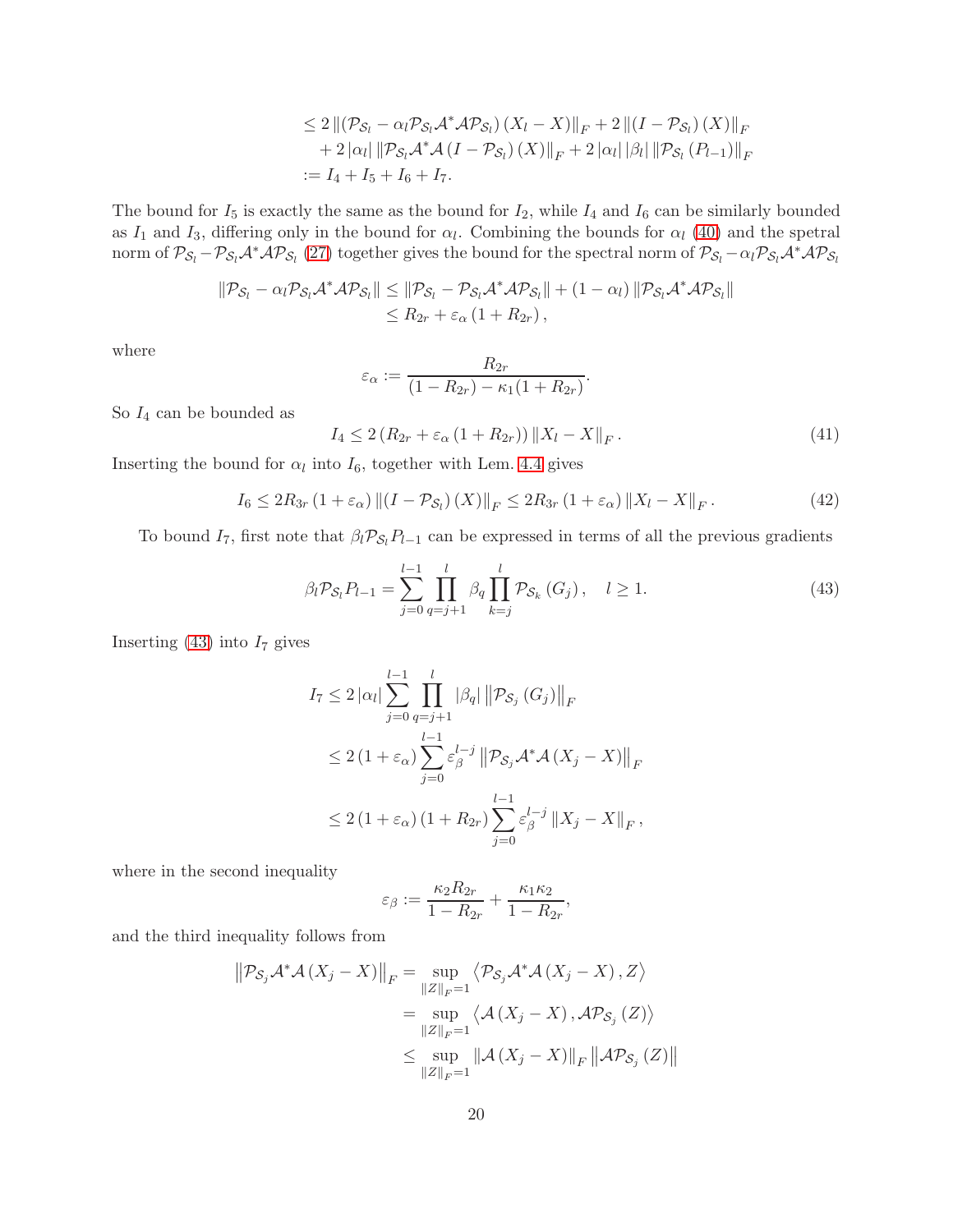$$
\leq 2 \| (\mathcal{P}_{S_l} - \alpha_l \mathcal{P}_{S_l} \mathcal{A}^* \mathcal{A} \mathcal{P}_{S_l}) (X_l - X) \|_F + 2 \| (I - \mathcal{P}_{S_l}) (X) \|_F + 2 |\alpha_l| \| \mathcal{P}_{S_l} \mathcal{A}^* \mathcal{A} (I - \mathcal{P}_{S_l}) (X) \|_F + 2 |\alpha_l| \|\mathcal{P}_{l} \| \mathcal{P}_{S_l} (P_{l-1}) \|_F := I_4 + I_5 + I_6 + I_7.
$$

The bound for  $I_5$  is exactly the same as the bound for  $I_2$ , while  $I_4$  and  $I_6$  can be similarly bounded as  $I_1$  and  $I_3$ , differing only in the bound for  $\alpha_l$ . Combining the bounds for  $\alpha_l$  [\(40\)](#page-17-1) and the spetral norm of  $\mathcal{P}_{S_l} - \mathcal{P}_{S_l} \mathcal{A}^* \mathcal{A} \mathcal{P}_{S_l}$  [\(27\)](#page-15-1) together gives the bound for the spectral norm of  $\mathcal{P}_{S_l} - \alpha_l \mathcal{P}_{S_l} \mathcal{A}^* \mathcal{A} \mathcal{P}_{S_l}$ 

$$
\begin{aligned} \|\mathcal{P}_{\mathcal{S}_l} - \alpha_l \mathcal{P}_{\mathcal{S}_l} \mathcal{A}^* \mathcal{A} \mathcal{P}_{\mathcal{S}_l} \| &\leq \|\mathcal{P}_{\mathcal{S}_l} - \mathcal{P}_{\mathcal{S}_l} \mathcal{A}^* \mathcal{A} \mathcal{P}_{\mathcal{S}_l} \| + (1 - \alpha_l) \|\mathcal{P}_{\mathcal{S}_l} \mathcal{A}^* \mathcal{A} \mathcal{P}_{\mathcal{S}_l} \| \\ &\leq R_{2r} + \varepsilon_\alpha \left( 1 + R_{2r} \right), \end{aligned}
$$

where

$$
\varepsilon_{\alpha} := \frac{R_{2r}}{(1 - R_{2r}) - \kappa_1(1 + R_{2r})}.
$$

So  $I_4$  can be bounded as

$$
I_4 \le 2(R_{2r} + \varepsilon_\alpha (1 + R_{2r})) \|X_l - X\|_F. \tag{41}
$$

Inserting the bound for  $\alpha_l$  into  $I_6$ , together with Lem. [4.4](#page-15-0) gives

$$
I_6 \le 2R_{3r} \left(1 + \varepsilon_\alpha\right) \left\| \left(I - \mathcal{P}_{\mathcal{S}_l}\right)(X)\right\|_F \le 2R_{3r} \left(1 + \varepsilon_\alpha\right) \left\|X_l - X\right\|_F. \tag{42}
$$

To bound  $I_7$ , first note that  $\beta_l \mathcal{P}_{S_l} P_{l-1}$  can be expressed in terms of all the previous gradients

<span id="page-19-0"></span>
$$
\beta_l \mathcal{P}_{\mathcal{S}_l} P_{l-1} = \sum_{j=0}^{l-1} \prod_{q=j+1}^l \beta_q \prod_{k=j}^l \mathcal{P}_{\mathcal{S}_k} (G_j), \quad l \ge 1.
$$
\n(43)

Inserting  $(43)$  into  $I<sub>7</sub>$  gives

$$
I_{7} \leq 2 |\alpha_{l}| \sum_{j=0}^{l-1} \prod_{q=j+1}^{l} |\beta_{q}| ||\mathcal{P}_{S_{j}}(G_{j})||_{F}
$$
  
\n
$$
\leq 2 (1 + \varepsilon_{\alpha}) \sum_{j=0}^{l-1} \varepsilon_{\beta}^{l-j} ||\mathcal{P}_{S_{j}} \mathcal{A}^{*} \mathcal{A}(X_{j} - X)||_{F}
$$
  
\n
$$
\leq 2 (1 + \varepsilon_{\alpha}) (1 + R_{2r}) \sum_{j=0}^{l-1} \varepsilon_{\beta}^{l-j} ||X_{j} - X||_{F},
$$

where in the second inequality

$$
\varepsilon_{\beta} := \frac{\kappa_2 R_{2r}}{1 - R_{2r}} + \frac{\kappa_1 \kappa_2}{1 - R_{2r}},
$$

and the third inequality follows from

$$
\|\mathcal{P}_{\mathcal{S}_j}\mathcal{A}^*\mathcal{A}(X_j - X)\|_F = \sup_{\|Z\|_F = 1} \langle \mathcal{P}_{\mathcal{S}_j}\mathcal{A}^*\mathcal{A}(X_j - X), Z \rangle
$$
  
\n
$$
= \sup_{\|Z\|_F = 1} \langle \mathcal{A}(X_j - X), \mathcal{A}\mathcal{P}_{\mathcal{S}_j}(Z) \rangle
$$
  
\n
$$
\leq \sup_{\|Z\|_F = 1} \|\mathcal{A}(X_j - X)\|_F \|\mathcal{A}\mathcal{P}_{\mathcal{S}_j}(Z)\|
$$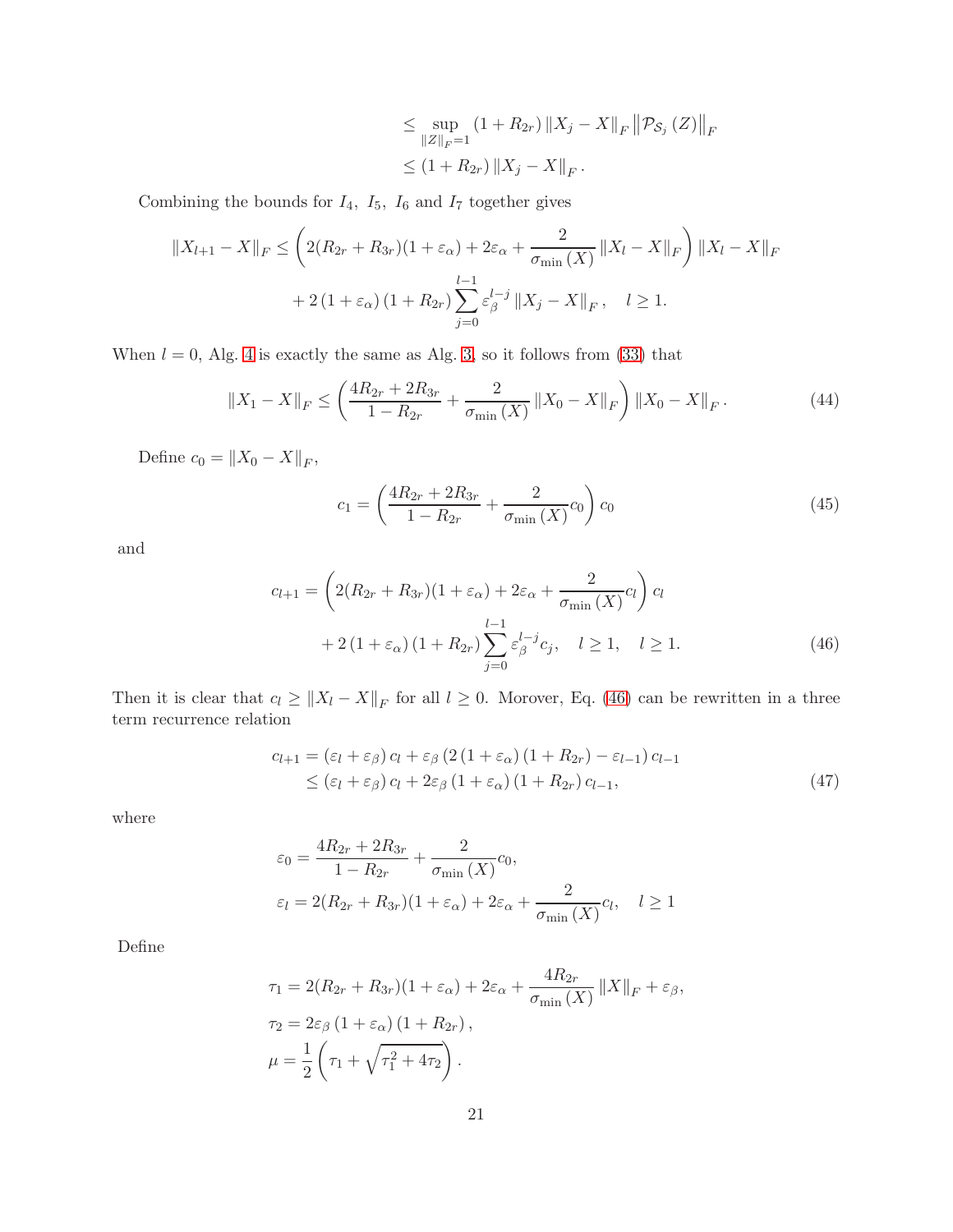$$
\leq \sup_{\|Z\|_F=1} (1+R_{2r}) \|X_j - X\|_F \|\mathcal{P}_{S_j}(Z)\|_F
$$
  

$$
\leq (1+R_{2r}) \|X_j - X\|_F.
$$

Combining the bounds for  $I_4$ ,  $I_5$ ,  $I_6$  and  $I_7$  together gives

$$
||X_{l+1} - X||_F \le \left(2(R_{2r} + R_{3r})(1 + \varepsilon_\alpha) + 2\varepsilon_\alpha + \frac{2}{\sigma_{\min}(X)} ||X_l - X||_F\right) ||X_l - X||_F
$$
  
+ 2(1 + \varepsilon\_\alpha)(1 + R\_{2r}) \sum\_{j=0}^{l-1} \varepsilon\_\beta^{l-j} ||X\_j - X||\_F, \quad l \ge 1.

When  $l = 0$ , Alg. [4](#page-4-1) is exactly the same as Alg. [3,](#page-4-0) so it follows from [\(33\)](#page-16-0) that

$$
\|X_1 - X\|_F \le \left(\frac{4R_{2r} + 2R_{3r}}{1 - R_{2r}} + \frac{2}{\sigma_{\min}(X)} \|X_0 - X\|_F\right) \|X_0 - X\|_F. \tag{44}
$$

Define  $c_0 = ||X_0 - X||_F$ ,

<span id="page-20-0"></span>
$$
c_1 = \left(\frac{4R_{2r} + 2R_{3r}}{1 - R_{2r}} + \frac{2}{\sigma_{\min}(X)}c_0\right)c_0\tag{45}
$$

and

$$
c_{l+1} = \left(2(R_{2r} + R_{3r})(1 + \varepsilon_{\alpha}) + 2\varepsilon_{\alpha} + \frac{2}{\sigma_{\min}(X)}c_l\right)c_l
$$
  
+ 2(1 + \varepsilon\_{\alpha})(1 + R\_{2r})\sum\_{j=0}^{l-1}\varepsilon\_{\beta}^{l-j}c\_j, \quad l \ge 1, \quad l \ge 1. (46)

Then it is clear that  $c_l \ge ||X_l - X||_F$  for all  $l \ge 0$ . Morover, Eq. [\(46\)](#page-20-0) can be rewritten in a three term recurrence relation

$$
c_{l+1} = (\varepsilon_l + \varepsilon_\beta) c_l + \varepsilon_\beta (2 (1 + \varepsilon_\alpha) (1 + R_{2r}) - \varepsilon_{l-1}) c_{l-1}
$$
  
 
$$
\leq (\varepsilon_l + \varepsilon_\beta) c_l + 2\varepsilon_\beta (1 + \varepsilon_\alpha) (1 + R_{2r}) c_{l-1}, \tag{47}
$$

where

$$
\varepsilon_0 = \frac{4R_{2r} + 2R_{3r}}{1 - R_{2r}} + \frac{2}{\sigma_{\min}(X)}c_0,
$$
  

$$
\varepsilon_l = 2(R_{2r} + R_{3r})(1 + \varepsilon_\alpha) + 2\varepsilon_\alpha + \frac{2}{\sigma_{\min}(X)}c_l, \quad l \ge 1
$$

Define

$$
\tau_1 = 2(R_{2r} + R_{3r})(1 + \varepsilon_\alpha) + 2\varepsilon_\alpha + \frac{4R_{2r}}{\sigma_{\min}(X)} ||X||_F + \varepsilon_\beta,
$$
  
\n
$$
\tau_2 = 2\varepsilon_\beta (1 + \varepsilon_\alpha) (1 + R_{2r}),
$$
  
\n
$$
\mu = \frac{1}{2} \left( \tau_1 + \sqrt{\tau_1^2 + 4\tau_2} \right).
$$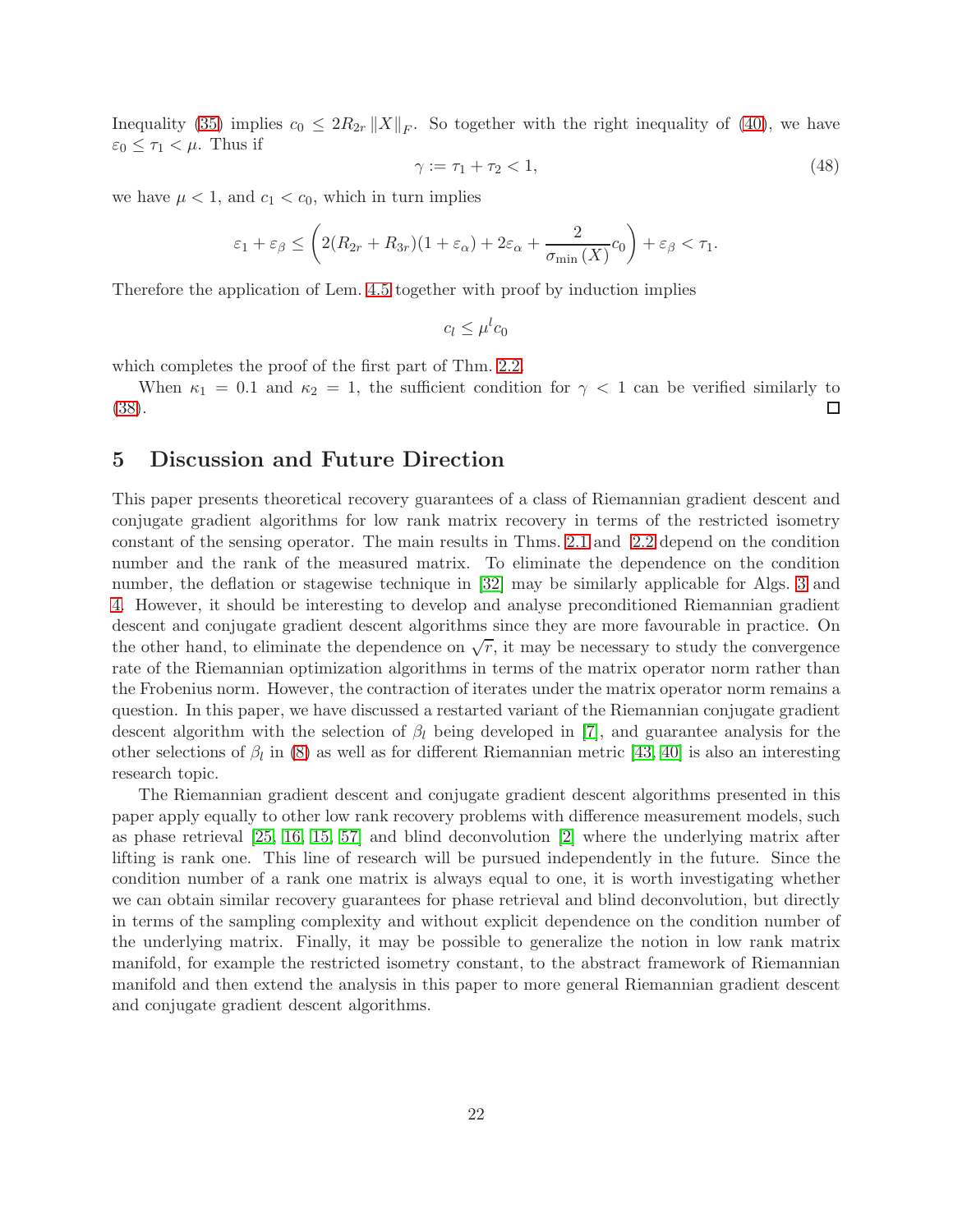Inequality [\(35\)](#page-17-0) implies  $c_0 \leq 2R_{2r} ||X||_F$ . So together with the right inequality of [\(40\)](#page-17-1), we have  $\varepsilon_0 \leq \tau_1 < \mu$ . Thus if

$$
\gamma := \tau_1 + \tau_2 < 1,\tag{48}
$$

we have  $\mu < 1$ , and  $c_1 < c_0$ , which in turn implies

$$
\varepsilon_1 + \varepsilon_\beta \le \left( 2(R_{2r} + R_{3r})(1 + \varepsilon_\alpha) + 2\varepsilon_\alpha + \frac{2}{\sigma_{\min}(X)} c_0 \right) + \varepsilon_\beta < \tau_1.
$$

Therefore the application of Lem. [4.5](#page-17-3) together with proof by induction implies

 $c_l \leq \mu^l c_0$ 

which completes the proof of the first part of Thm. [2.2.](#page-7-2)

When  $\kappa_1 = 0.1$  and  $\kappa_2 = 1$ , the sufficient condition for  $\gamma < 1$  can be verified similarly to [\(38\)](#page-17-4). □

### <span id="page-21-0"></span>5 Discussion and Future Direction

This paper presents theoretical recovery guarantees of a class of Riemannian gradient descent and conjugate gradient algorithms for low rank matrix recovery in terms of the restricted isometry constant of the sensing operator. The main results in Thms. [2.1](#page-6-1) and [2.2](#page-7-2) depend on the condition number and the rank of the measured matrix. To eliminate the dependence on the condition number, the deflation or stagewise technique in [\[32\]](#page-24-11) may be similarly applicable for Algs. [3](#page-4-0) and [4.](#page-4-1) However, it should be interesting to develop and analyse preconditioned Riemannian gradient descent and conjugate gradient descent algorithms since they are more favourable in practice. On the other hand, to eliminate the dependence on  $\sqrt{r}$ , it may be necessary to study the convergence rate of the Riemannian optimization algorithms in terms of the matrix operator norm rather than the Frobenius norm. However, the contraction of iterates under the matrix operator norm remains a question. In this paper, we have discussed a restarted variant of the Riemannian conjugate gradient descent algorithm with the selection of  $\beta_l$  being developed in [\[7\]](#page-22-5), and guarantee analysis for the other selections of  $\beta_l$  in [\(8\)](#page-5-1) as well as for different Riemannian metric [\[43,](#page-24-16) [40\]](#page-24-7) is also an interesting research topic.

The Riemannian gradient descent and conjugate gradient descent algorithms presented in this paper apply equally to other low rank recovery problems with difference measurement models, such as phase retrieval [\[25,](#page-23-13) [16,](#page-23-14) [15,](#page-23-15) [57\]](#page-25-14) and blind deconvolution [\[2\]](#page-22-13) where the underlying matrix after lifting is rank one. This line of research will be pursued independently in the future. Since the condition number of a rank one matrix is always equal to one, it is worth investigating whether we can obtain similar recovery guarantees for phase retrieval and blind deconvolution, but directly in terms of the sampling complexity and without explicit dependence on the condition number of the underlying matrix. Finally, it may be possible to generalize the notion in low rank matrix manifold, for example the restricted isometry constant, to the abstract framework of Riemannian manifold and then extend the analysis in this paper to more general Riemannian gradient descent and conjugate gradient descent algorithms.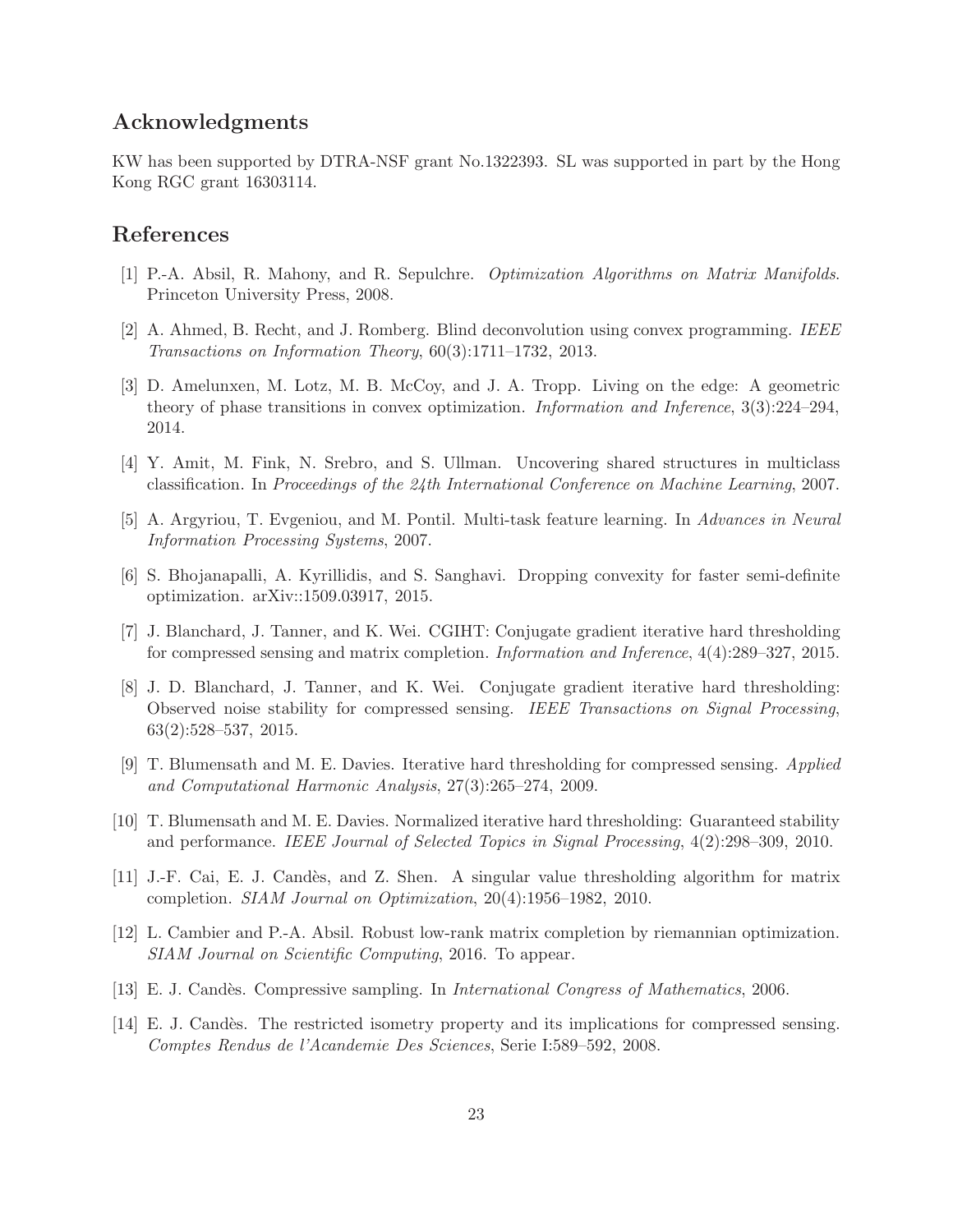### Acknowledgments

KW has been supported by DTRA-NSF grant No.1322393. SL was supported in part by the Hong Kong RGC grant 16303114.

### <span id="page-22-10"></span>References

- <span id="page-22-13"></span>[1] P.-A. Absil, R. Mahony, and R. Sepulchre. Optimization Algorithms on Matrix Manifolds. Princeton University Press, 2008.
- <span id="page-22-3"></span>[2] A. Ahmed, B. Recht, and J. Romberg. Blind deconvolution using convex programming. IEEE Transactions on Information Theory, 60(3):1711–1732, 2013.
- [3] D. Amelunxen, M. Lotz, M. B. McCoy, and J. A. Tropp. Living on the edge: A geometric theory of phase transitions in convex optimization. Information and Inference, 3(3):224–294, 2014.
- <span id="page-22-2"></span><span id="page-22-1"></span>[4] Y. Amit, M. Fink, N. Srebro, and S. Ullman. Uncovering shared structures in multiclass classification. In Proceedings of the 24th International Conference on Machine Learning, 2007.
- <span id="page-22-11"></span>[5] A. Argyriou, T. Evgeniou, and M. Pontil. Multi-task feature learning. In Advances in Neural Information Processing Systems, 2007.
- <span id="page-22-5"></span>[6] S. Bhojanapalli, A. Kyrillidis, and S. Sanghavi. Dropping convexity for faster semi-definite optimization. arXiv::1509.03917, 2015.
- [7] J. Blanchard, J. Tanner, and K. Wei. CGIHT: Conjugate gradient iterative hard thresholding for compressed sensing and matrix completion. Information and Inference, 4(4):289–327, 2015.
- <span id="page-22-9"></span>[8] J. D. Blanchard, J. Tanner, and K. Wei. Conjugate gradient iterative hard thresholding: Observed noise stability for compressed sensing. IEEE Transactions on Signal Processing, 63(2):528–537, 2015.
- <span id="page-22-7"></span>[9] T. Blumensath and M. E. Davies. Iterative hard thresholding for compressed sensing. Applied and Computational Harmonic Analysis, 27(3):265–274, 2009.
- <span id="page-22-8"></span>[10] T. Blumensath and M. E. Davies. Normalized iterative hard thresholding: Guaranteed stability and performance. IEEE Journal of Selected Topics in Signal Processing, 4(2):298–309, 2010.
- <span id="page-22-4"></span>[11] J.-F. Cai, E. J. Cand`es, and Z. Shen. A singular value thresholding algorithm for matrix completion. SIAM Journal on Optimization, 20(4):1956–1982, 2010.
- <span id="page-22-6"></span>[12] L. Cambier and P.-A. Absil. Robust low-rank matrix completion by riemannian optimization. SIAM Journal on Scientific Computing, 2016. To appear.
- <span id="page-22-12"></span><span id="page-22-0"></span>[13] E. J. Candès. Compressive sampling. In *International Congress of Mathematics*, 2006.
- [14] E. J. Candès. The restricted isometry property and its implications for compressed sensing. Comptes Rendus de l'Acandemie Des Sciences, Serie I:589–592, 2008.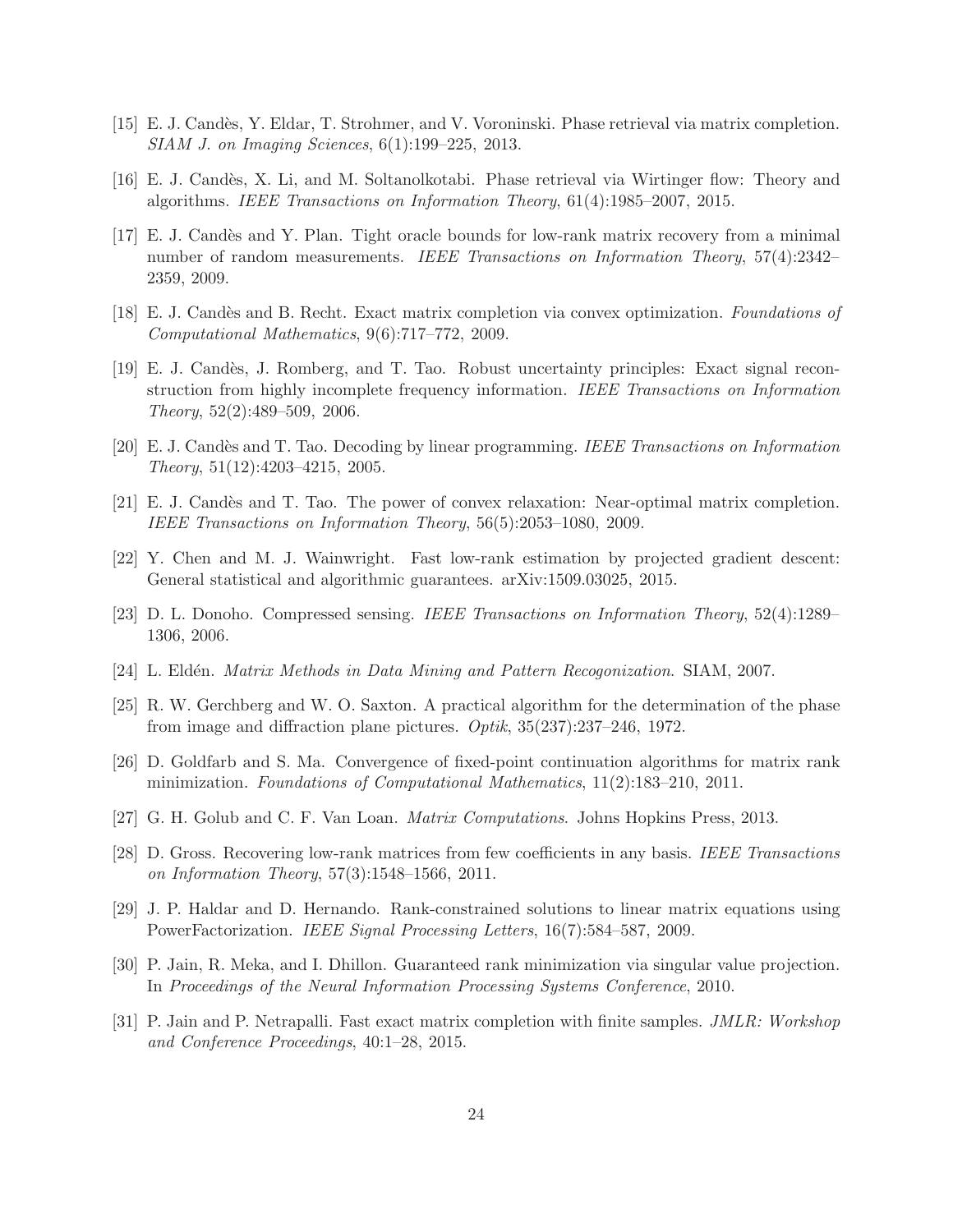- <span id="page-23-15"></span><span id="page-23-14"></span>[15] E. J. Candès, Y. Eldar, T. Strohmer, and V. Voroninski. Phase retrieval via matrix completion. SIAM J. on Imaging Sciences, 6(1):199–225, 2013.
- <span id="page-23-4"></span>[16] E. J. Cand`es, X. Li, and M. Soltanolkotabi. Phase retrieval via Wirtinger flow: Theory and algorithms. IEEE Transactions on Information Theory, 61(4):1985–2007, 2015.
- [17] E. J. Candès and Y. Plan. Tight oracle bounds for low-rank matrix recovery from a minimal number of random measurements. IEEE Transactions on Information Theory, 57(4):2342-2359, 2009.
- <span id="page-23-3"></span><span id="page-23-1"></span>[18] E. J. Candès and B. Recht. Exact matrix completion via convex optimization. Foundations of Computational Mathematics, 9(6):717–772, 2009.
- [19] E. J. Cand`es, J. Romberg, and T. Tao. Robust uncertainty principles: Exact signal reconstruction from highly incomplete frequency information. IEEE Transactions on Information Theory, 52(2):489–509, 2006.
- <span id="page-23-6"></span><span id="page-23-5"></span>[20] E. J. Cand`es and T. Tao. Decoding by linear programming. IEEE Transactions on Information Theory, 51(12):4203–4215, 2005.
- [21] E. J. Cand`es and T. Tao. The power of convex relaxation: Near-optimal matrix completion. IEEE Transactions on Information Theory, 56(5):2053–1080, 2009.
- <span id="page-23-11"></span><span id="page-23-0"></span>[22] Y. Chen and M. J. Wainwright. Fast low-rank estimation by projected gradient descent: General statistical and algorithmic guarantees. arXiv:1509.03025, 2015.
- <span id="page-23-2"></span>[23] D. L. Donoho. Compressed sensing. IEEE Transactions on Information Theory, 52(4):1289– 1306, 2006.
- <span id="page-23-13"></span>[24] L. Eldén. *Matrix Methods in Data Mining and Pattern Recogonization.* SIAM, 2007.
- <span id="page-23-10"></span>[25] R. W. Gerchberg and W. O. Saxton. A practical algorithm for the determination of the phase from image and diffraction plane pictures. Optik, 35(237):237–246, 1972.
- <span id="page-23-16"></span>[26] D. Goldfarb and S. Ma. Convergence of fixed-point continuation algorithms for matrix rank minimization. Foundations of Computational Mathematics, 11(2):183–210, 2011.
- <span id="page-23-7"></span>[27] G. H. Golub and C. F. Van Loan. Matrix Computations. Johns Hopkins Press, 2013.
- [28] D. Gross. Recovering low-rank matrices from few coefficients in any basis. IEEE Transactions on Information Theory, 57(3):1548–1566, 2011.
- <span id="page-23-9"></span>[29] J. P. Haldar and D. Hernando. Rank-constrained solutions to linear matrix equations using PowerFactorization. IEEE Signal Processing Letters, 16(7):584–587, 2009.
- <span id="page-23-8"></span>[30] P. Jain, R. Meka, and I. Dhillon. Guaranteed rank minimization via singular value projection. In Proceedings of the Neural Information Processing Systems Conference, 2010.
- <span id="page-23-12"></span>[31] P. Jain and P. Netrapalli. Fast exact matrix completion with finite samples. JMLR: Workshop and Conference Proceedings, 40:1–28, 2015.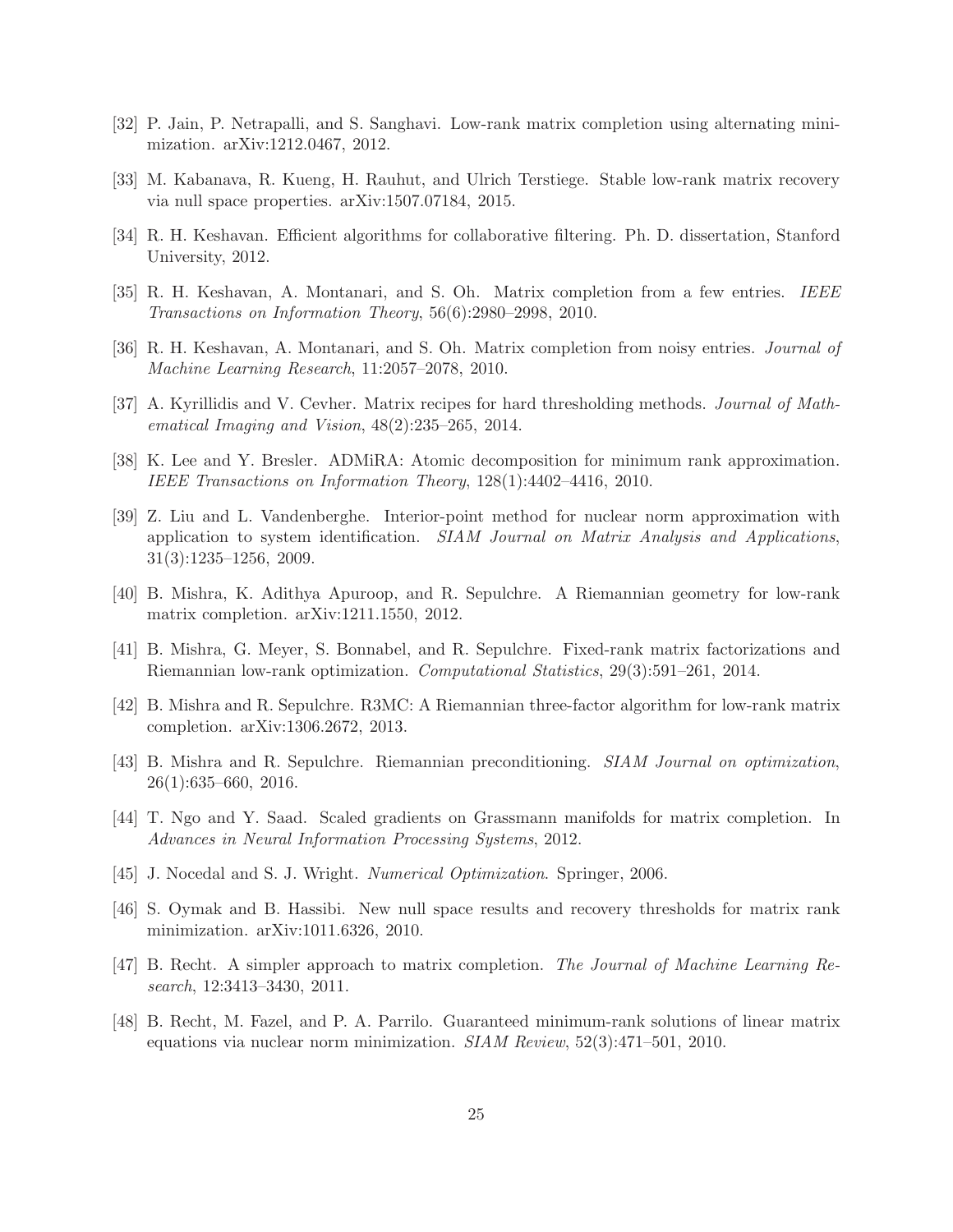- <span id="page-24-11"></span><span id="page-24-4"></span>[32] P. Jain, P. Netrapalli, and S. Sanghavi. Low-rank matrix completion using alternating minimization. arXiv:1212.0467, 2012.
- <span id="page-24-14"></span>[33] M. Kabanava, R. Kueng, H. Rauhut, and Ulrich Terstiege. Stable low-rank matrix recovery via null space properties. arXiv:1507.07184, 2015.
- <span id="page-24-12"></span>[34] R. H. Keshavan. Efficient algorithms for collaborative filtering. Ph. D. dissertation, Stanford University, 2012.
- <span id="page-24-13"></span>[35] R. H. Keshavan, A. Montanari, and S. Oh. Matrix completion from a few entries. IEEE Transactions on Information Theory, 56(6):2980–2998, 2010.
- <span id="page-24-5"></span>[36] R. H. Keshavan, A. Montanari, and S. Oh. Matrix completion from noisy entries. Journal of Machine Learning Research, 11:2057–2078, 2010.
- <span id="page-24-15"></span>[37] A. Kyrillidis and V. Cevher. Matrix recipes for hard thresholding methods. Journal of Mathematical Imaging and Vision, 48(2):235–265, 2014.
- <span id="page-24-0"></span>[38] K. Lee and Y. Bresler. ADMiRA: Atomic decomposition for minimum rank approximation. IEEE Transactions on Information Theory, 128(1):4402–4416, 2010.
- [39] Z. Liu and L. Vandenberghe. Interior-point method for nuclear norm approximation with application to system identification. SIAM Journal on Matrix Analysis and Applications. 31(3):1235–1256, 2009.
- <span id="page-24-8"></span><span id="page-24-7"></span>[40] B. Mishra, K. Adithya Apuroop, and R. Sepulchre. A Riemannian geometry for low-rank matrix completion. arXiv:1211.1550, 2012.
- [41] B. Mishra, G. Meyer, S. Bonnabel, and R. Sepulchre. Fixed-rank matrix factorizations and Riemannian low-rank optimization. Computational Statistics, 29(3):591–261, 2014.
- <span id="page-24-16"></span><span id="page-24-9"></span>[42] B. Mishra and R. Sepulchre. R3MC: A Riemannian three-factor algorithm for low-rank matrix completion. arXiv:1306.2672, 2013.
- <span id="page-24-6"></span>[43] B. Mishra and R. Sepulchre. Riemannian preconditioning. SIAM Journal on optimization, 26(1):635–660, 2016.
- <span id="page-24-10"></span>[44] T. Ngo and Y. Saad. Scaled gradients on Grassmann manifolds for matrix completion. In Advances in Neural Information Processing Systems, 2012.
- <span id="page-24-3"></span>[45] J. Nocedal and S. J. Wright. Numerical Optimization. Springer, 2006.
- <span id="page-24-2"></span>[46] S. Oymak and B. Hassibi. New null space results and recovery thresholds for matrix rank minimization. arXiv:1011.6326, 2010.
- [47] B. Recht. A simpler approach to matrix completion. The Journal of Machine Learning Research, 12:3413–3430, 2011.
- <span id="page-24-1"></span>[48] B. Recht, M. Fazel, and P. A. Parrilo. Guaranteed minimum-rank solutions of linear matrix equations via nuclear norm minimization. SIAM Review, 52(3):471–501, 2010.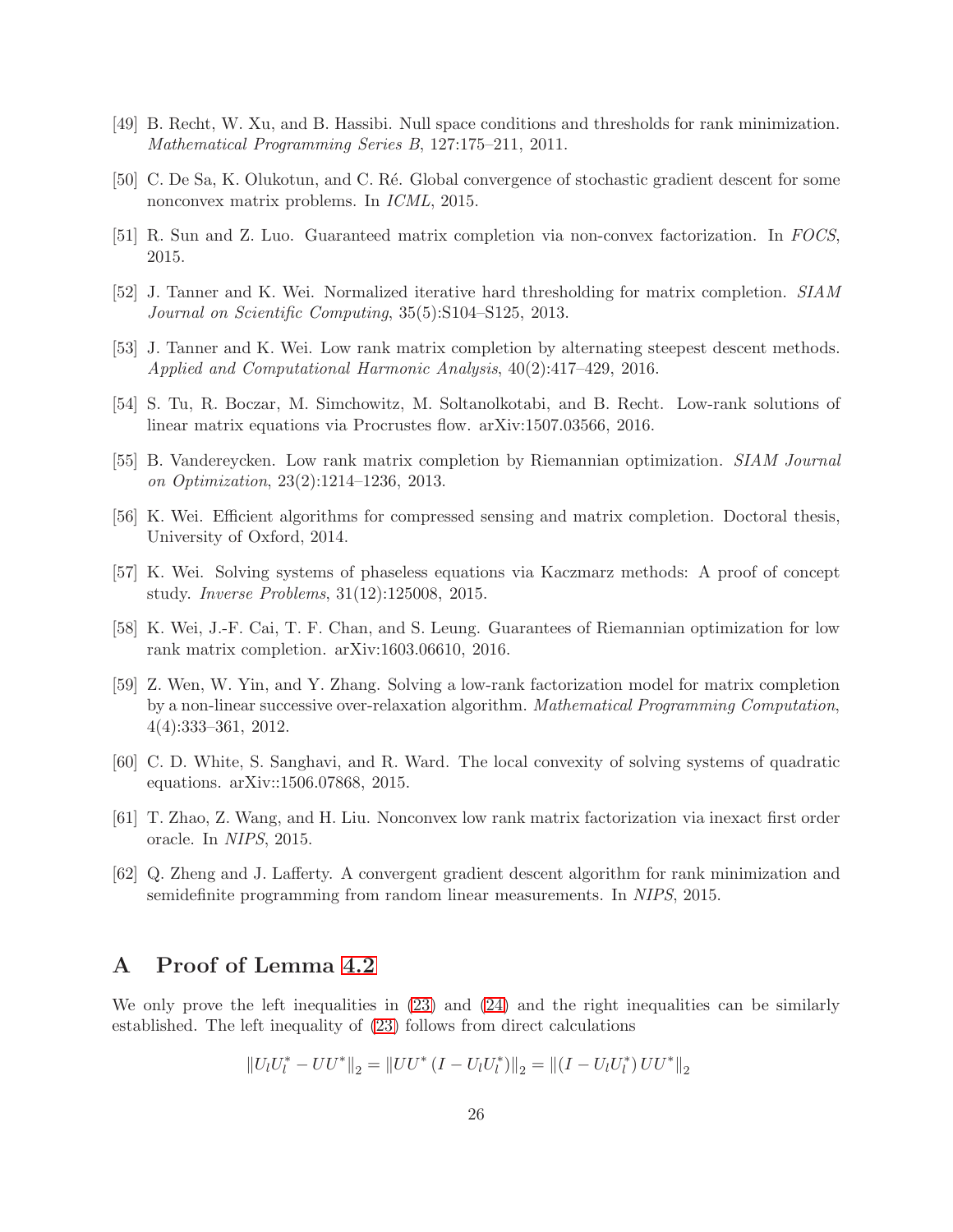- <span id="page-25-9"></span><span id="page-25-0"></span>[49] B. Recht, W. Xu, and B. Hassibi. Null space conditions and thresholds for rank minimization. Mathematical Programming Series B, 127:175–211, 2011.
- <span id="page-25-12"></span>[50] C. De Sa, K. Olukotun, and C. Ré. Global convergence of stochastic gradient descent for some nonconvex matrix problems. In ICML, 2015.
- <span id="page-25-1"></span>[51] R. Sun and Z. Luo. Guaranteed matrix completion via non-convex factorization. In FOCS, 2015.
- <span id="page-25-3"></span>[52] J. Tanner and K. Wei. Normalized iterative hard thresholding for matrix completion. SIAM Journal on Scientific Computing, 35(5):S104–S125, 2013.
- <span id="page-25-7"></span>[53] J. Tanner and K. Wei. Low rank matrix completion by alternating steepest descent methods. Applied and Computational Harmonic Analysis, 40(2):417–429, 2016.
- <span id="page-25-4"></span>[54] S. Tu, R. Boczar, M. Simchowitz, M. Soltanolkotabi, and B. Recht. Low-rank solutions of linear matrix equations via Procrustes flow. arXiv:1507.03566, 2016.
- <span id="page-25-5"></span>[55] B. Vandereycken. Low rank matrix completion by Riemannian optimization. SIAM Journal on Optimization, 23(2):1214–1236, 2013.
- <span id="page-25-14"></span>[56] K. Wei. Efficient algorithms for compressed sensing and matrix completion. Doctoral thesis, University of Oxford, 2014.
- <span id="page-25-6"></span>[57] K. Wei. Solving systems of phaseless equations via Kaczmarz methods: A proof of concept study. Inverse Problems, 31(12):125008, 2015.
- <span id="page-25-2"></span>[58] K. Wei, J.-F. Cai, T. F. Chan, and S. Leung. Guarantees of Riemannian optimization for low rank matrix completion. arXiv:1603.06610, 2016.
- [59] Z. Wen, W. Yin, and Y. Zhang. Solving a low-rank factorization model for matrix completion by a non-linear successive over-relaxation algorithm. Mathematical Programming Computation, 4(4):333–361, 2012.
- <span id="page-25-11"></span><span id="page-25-10"></span>[60] C. D. White, S. Sanghavi, and R. Ward. The local convexity of solving systems of quadratic equations. arXiv::1506.07868, 2015.
- <span id="page-25-8"></span>[61] T. Zhao, Z. Wang, and H. Liu. Nonconvex low rank matrix factorization via inexact first order oracle. In NIPS, 2015.
- [62] Q. Zheng and J. Lafferty. A convergent gradient descent algorithm for rank minimization and semidefinite programming from random linear measurements. In NIPS, 2015.

### <span id="page-25-13"></span>A Proof of Lemma [4.2](#page-14-0)

We only prove the left inequalities in [\(23\)](#page-14-2) and [\(24\)](#page-14-3) and the right inequalities can be similarly established. The left inequality of [\(23\)](#page-14-2) follows from direct calculations

$$
||U_lU_l^* - UU^*||_2 = ||UU^* (I - U_lU_l^*)||_2 = ||(I - U_lU_l^*)UU^*||_2
$$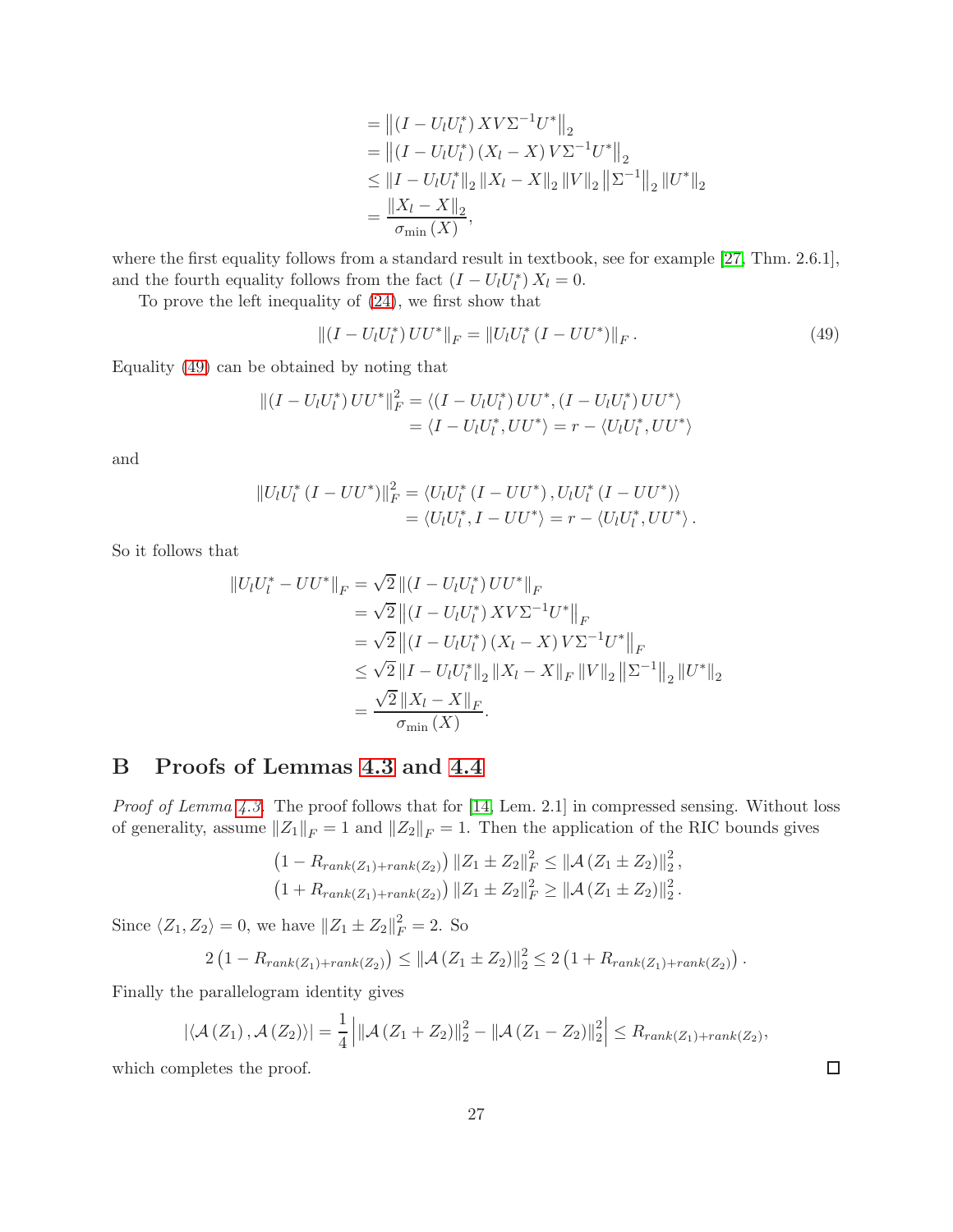$$
= ||(I - U_l U_l^*) XV\Sigma^{-1} U^*||_2
$$
  
=  $||(I - U_l U_l^*)(X_l - X) V\Sigma^{-1} U^*||_2$   
 $\leq ||I - U_l U_l^*||_2 ||X_l - X||_2 ||V||_2 ||\Sigma^{-1}||_2 ||U^*||_2$   
=  $\frac{||X_l - X||_2}{\sigma_{\min}(X)},$ 

where the first equality follows from a standard result in textbook, see for example [\[27,](#page-23-16) Thm. 2.6.1], and the fourth equality follows from the fact  $(I - U_l U_l^*) X_l = 0$ .

To prove the left inequality of [\(24\)](#page-14-3), we first show that

<span id="page-26-1"></span>
$$
||(I - U_l U_l^*) U U^*||_F = ||U_l U_l^* (I - U U^*)||_F.
$$
\n(49)

Equality [\(49\)](#page-26-1) can be obtained by noting that

$$
||(I - U_l U_l^*)UU^*||_F^2 = \langle (I - U_l U_l^*)UU^*, (I - U_l U_l^*)UU^* \rangle
$$
  
=  $\langle I - U_l U_l^*, UU^* \rangle = r - \langle U_l U_l^*, UU^* \rangle$ 

and

$$
||U_lU_l^*(I - UU^*)||_F^2 = \langle U_lU_l^*(I - UU^*) , U_lU_l^*(I - UU^*) \rangle
$$
  
=  $\langle U_lU_l^*, I - UU^* \rangle = r - \langle U_lU_l^*, UU^* \rangle$ .

So it follows that

$$
||U_l U_l^* - U U^*||_F = \sqrt{2} ||(I - U_l U_l^*) U U^*||_F
$$
  
\n
$$
= \sqrt{2} ||(I - U_l U_l^*) X V \Sigma^{-1} U^*||_F
$$
  
\n
$$
= \sqrt{2} ||(I - U_l U_l^*) (X_l - X) V \Sigma^{-1} U^*||_F
$$
  
\n
$$
\leq \sqrt{2} ||I - U_l U_l^*||_2 ||X_l - X||_F ||V||_2 ||\Sigma^{-1}||_2 ||U^*||_2
$$
  
\n
$$
= \frac{\sqrt{2} ||X_l - X||_F}{\sigma_{\min}(X)}.
$$

# <span id="page-26-0"></span>B Proofs of Lemmas [4.3](#page-14-4) and [4.4](#page-15-0)

Proof of Lemma [4.3.](#page-14-4) The proof follows that for [\[14,](#page-22-12) Lem. 2.1] in compressed sensing. Without loss of generality, assume  $||Z_1||_F = 1$  and  $||Z_2||_F = 1$ . Then the application of the RIC bounds gives

$$
(1 - R_{rank(Z_1) + rank(Z_2)}) ||Z_1 \pm Z_2||_F^2 \le ||\mathcal{A}(Z_1 \pm Z_2)||_2^2,
$$
  

$$
(1 + R_{rank(Z_1) + rank(Z_2)}) ||Z_1 \pm Z_2||_F^2 \ge ||\mathcal{A}(Z_1 \pm Z_2)||_2^2.
$$

Since  $\langle Z_1, Z_2 \rangle = 0$ , we have  $||Z_1 \pm Z_2||_F^2 = 2$ . So

$$
2\left(1 - R_{rank(Z_1) + rank(Z_2)}\right) \leq \|\mathcal{A}(Z_1 \pm Z_2)\|_2^2 \leq 2\left(1 + R_{rank(Z_1) + rank(Z_2)}\right).
$$

Finally the parallelogram identity gives

$$
\left|\left\langle \mathcal{A}\left(Z_{1}\right),\mathcal{A}\left(Z_{2}\right)\right\rangle \right|=\frac{1}{4}\left|\left\|\mathcal{A}\left(Z_{1}+Z_{2}\right)\right\|_{2}^{2}-\left\|\mathcal{A}\left(Z_{1}-Z_{2}\right)\right\|_{2}^{2}\right|\leq R_{rank(Z_{1})+rank(Z_{2})},
$$

which completes the proof.

 $\Box$